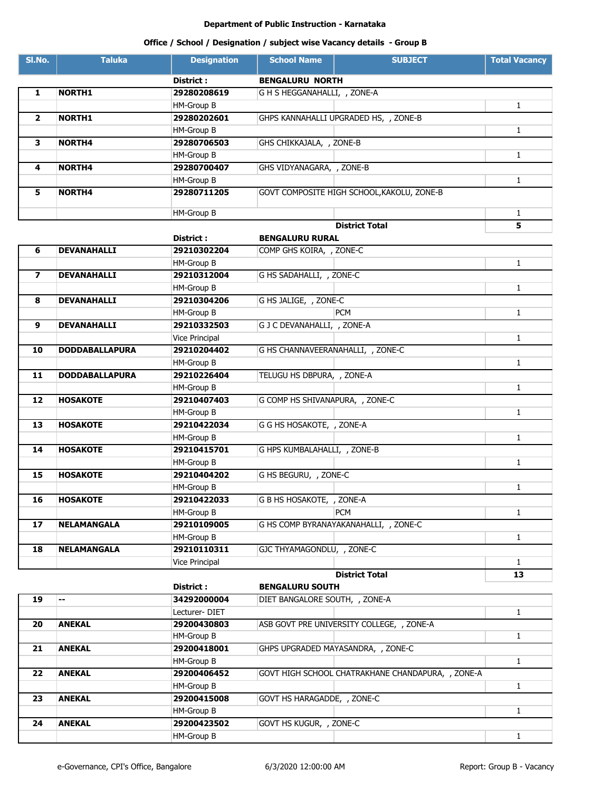|                          | Office / School / Designation / subject wise Vacancy details - Group B |                       |                                   |                                            |                      |
|--------------------------|------------------------------------------------------------------------|-----------------------|-----------------------------------|--------------------------------------------|----------------------|
| SI.No.                   | <b>Taluka</b>                                                          | <b>Designation</b>    | <b>School Name</b>                | <b>SUBJECT</b>                             | <b>Total Vacancy</b> |
|                          |                                                                        | District:             | <b>BENGALURU NORTH</b>            |                                            |                      |
| 1                        | <b>NORTH1</b>                                                          | 29280208619           | G H S HEGGANAHALLI, , ZONE-A      |                                            |                      |
|                          |                                                                        | HM-Group B            |                                   |                                            | $\mathbf{1}$         |
| $\overline{2}$           | <b>NORTH1</b>                                                          | 29280202601           |                                   | GHPS KANNAHALLI UPGRADED HS, , ZONE-B      |                      |
|                          |                                                                        | HM-Group B            |                                   |                                            | 1                    |
| 3                        | <b>NORTH4</b>                                                          | 29280706503           | GHS CHIKKAJALA, , ZONE-B          |                                            |                      |
|                          |                                                                        | HM-Group B            |                                   |                                            | $\mathbf{1}$         |
| 4                        | <b>NORTH4</b>                                                          | 29280700407           | GHS VIDYANAGARA, , ZONE-B         |                                            |                      |
|                          |                                                                        | HM-Group B            |                                   |                                            | $\mathbf{1}$         |
| 5                        | <b>NORTH4</b>                                                          | 29280711205           |                                   | GOVT COMPOSITE HIGH SCHOOL, KAKOLU, ZONE-B |                      |
|                          |                                                                        |                       |                                   |                                            |                      |
|                          |                                                                        | <b>HM-Group B</b>     |                                   |                                            | $\mathbf{1}$         |
|                          |                                                                        |                       |                                   | <b>District Total</b>                      | 5                    |
|                          |                                                                        | District :            | <b>BENGALURU RURAL</b>            |                                            |                      |
| 6                        | <b>DEVANAHALLI</b>                                                     | 29210302204           | COMP GHS KOIRA, , ZONE-C          |                                            |                      |
|                          |                                                                        | HM-Group B            |                                   |                                            | $\mathbf{1}$         |
| $\overline{\phantom{a}}$ | <b>DEVANAHALLI</b>                                                     | 29210312004           | G HS SADAHALLI, , ZONE-C          |                                            |                      |
|                          |                                                                        | HM-Group B            |                                   |                                            | $\mathbf{1}$         |
| 8                        | <b>DEVANAHALLI</b>                                                     | 29210304206           | G HS JALIGE, , ZONE-C             |                                            |                      |
|                          |                                                                        | HM-Group B            |                                   | <b>PCM</b>                                 | $\mathbf{1}$         |
| 9                        | DEVANAHALLI                                                            | 29210332503           | G J C DEVANAHALLI, , ZONE-A       |                                            |                      |
|                          |                                                                        | <b>Vice Principal</b> |                                   |                                            | $\mathbf{1}$         |
| 10                       | <b>DODDABALLAPURA</b>                                                  | 29210204402           | G HS CHANNAVEERANAHALLI, , ZONE-C |                                            |                      |
|                          |                                                                        | HM-Group B            |                                   |                                            | $\mathbf{1}$         |
| 11                       | <b>DODDABALLAPURA</b>                                                  | 29210226404           | TELUGU HS DBPURA, , ZONE-A        |                                            |                      |
|                          |                                                                        | HM-Group B            |                                   |                                            | $\mathbf{1}$         |
| 12                       | <b>HOSAKOTE</b>                                                        | 29210407403           | G COMP HS SHIVANAPURA, , ZONE-C   |                                            |                      |
|                          |                                                                        | HM-Group B            |                                   |                                            | $\mathbf{1}$         |
| 13                       | <b>HOSAKOTE</b>                                                        | 29210422034           | G G HS HOSAKOTE, , ZONE-A         |                                            |                      |
|                          |                                                                        | HM-Group B            |                                   |                                            | $\mathbf{1}$         |
| 14                       | <b>HOSAKOTE</b>                                                        | 29210415701           | G HPS KUMBALAHALLI, , ZONE-B      |                                            |                      |
|                          |                                                                        | HM-Group B            |                                   |                                            | $\mathbf{1}$         |
| 15                       | <b>HOSAKOTE</b>                                                        | 29210404202           | G HS BEGURU, , ZONE-C             |                                            |                      |
|                          |                                                                        | HM-Group B            |                                   |                                            | $\mathbf{1}$         |
| 16                       | <b>HOSAKOTE</b>                                                        | 29210422033           | G B HS HOSAKOTE, , ZONE-A         |                                            |                      |
|                          |                                                                        | HM-Group B            |                                   | <b>PCM</b>                                 | $\mathbf{1}$         |
| 17                       | <b>NELAMANGALA</b>                                                     | 29210109005           |                                   | G HS COMP BYRANAYAKANAHALLI, , ZONE-C      |                      |
|                          |                                                                        | HM-Group B            |                                   |                                            | $\mathbf{1}$         |
| 18                       | <b>NELAMANGALA</b>                                                     | 29210110311           | GJC THYAMAGONDLU, , ZONE-C        |                                            |                      |
|                          |                                                                        | <b>Vice Principal</b> |                                   |                                            | $\mathbf{1}$         |
|                          |                                                                        |                       |                                   | <b>District Total</b>                      | 13                   |
|                          |                                                                        | District :            | <b>BENGALURU SOUTH</b>            |                                            |                      |
| 19                       | н.                                                                     | 34292000004           | DIET BANGALORE SOUTH, , ZONE-A    |                                            |                      |
|                          |                                                                        | Lecturer-DIET         |                                   |                                            | $\mathbf{1}$         |
| 20                       | <b>ANEKAL</b>                                                          | 29200430803           |                                   | ASB GOVT PRE UNIVERSITY COLLEGE, , ZONE-A  |                      |
|                          |                                                                        | HM-Group B            |                                   |                                            | $\mathbf{1}$         |
| 21                       | <b>ANEKAL</b>                                                          | 29200418001           |                                   | GHPS UPGRADED MAYASANDRA, , ZONE-C         |                      |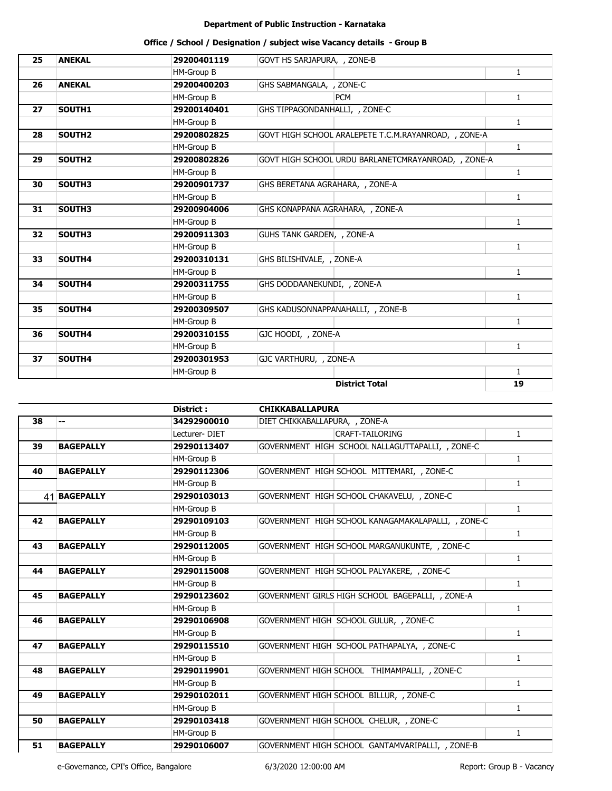| 25 | <b>ANEKAL</b>      | 29200401119       | GOVT HS SARJAPURA, , ZONE-B                          |              |
|----|--------------------|-------------------|------------------------------------------------------|--------------|
|    |                    | HM-Group B        |                                                      | $\mathbf{1}$ |
| 26 | <b>ANEKAL</b>      | 29200400203       | GHS SABMANGALA, , ZONE-C                             |              |
|    |                    | <b>HM-Group B</b> | <b>PCM</b>                                           | $\mathbf{1}$ |
| 27 | SOUTH1             | 29200140401       | GHS TIPPAGONDANHALLI, , ZONE-C                       |              |
|    |                    | HM-Group B        |                                                      | $\mathbf{1}$ |
| 28 | SOUTH <sub>2</sub> | 29200802825       | GOVT HIGH SCHOOL ARALEPETE T.C.M.RAYANROAD, , ZONE-A |              |
|    |                    | HM-Group B        |                                                      | $\mathbf{1}$ |
| 29 | SOUTH <sub>2</sub> | 29200802826       | GOVT HIGH SCHOOL URDU BARLANETCMRAYANROAD, , ZONE-A  |              |
|    |                    | HM-Group B        |                                                      | $\mathbf{1}$ |
| 30 | SOUTH3             | 29200901737       | GHS BERETANA AGRAHARA, , ZONE-A                      |              |
|    |                    | HM-Group B        |                                                      | $\mathbf{1}$ |
| 31 | SOUTH3             | 29200904006       | GHS KONAPPANA AGRAHARA, , ZONE-A                     |              |
|    |                    | HM-Group B        |                                                      | $\mathbf{1}$ |
| 32 | SOUTH3             | 29200911303       | GUHS TANK GARDEN, , ZONE-A                           |              |
|    |                    | <b>HM-Group B</b> |                                                      | $\mathbf{1}$ |
| 33 | SOUTH4             | 29200310131       | GHS BILISHIVALE, , ZONE-A                            |              |
|    |                    | HM-Group B        |                                                      | $\mathbf{1}$ |
| 34 | SOUTH4             | 29200311755       | GHS DODDAANEKUNDI, , ZONE-A                          |              |
|    |                    | HM-Group B        |                                                      | $\mathbf{1}$ |
| 35 | SOUTH4             | 29200309507       | GHS KADUSONNAPPANAHALLI, , ZONE-B                    |              |
|    |                    | HM-Group B        |                                                      | $\mathbf{1}$ |
| 36 | SOUTH4             | 29200310155       | GJC HOODI, , ZONE-A                                  |              |
|    |                    | HM-Group B        |                                                      | $\mathbf{1}$ |
| 37 | SOUTH4             | 29200301953       | GJC VARTHURU, , ZONE-A                               |              |
|    |                    | <b>HM-Group B</b> |                                                      | $\mathbf{1}$ |
|    |                    |                   | <b>District Total</b>                                | 19           |

|                  | District:     | <b>CHIKKABALLAPURA</b>                             |              |  |
|------------------|---------------|----------------------------------------------------|--------------|--|
| --               | 34292900010   | DIET CHIKKABALLAPURA, , ZONE-A                     |              |  |
|                  | Lecturer-DIET | CRAFT-TAILORING                                    | $\mathbf{1}$ |  |
| <b>BAGEPALLY</b> | 29290113407   | GOVERNMENT HIGH SCHOOL NALLAGUTTAPALLI, , ZONE-C   |              |  |
|                  | HM-Group B    |                                                    | $\mathbf{1}$ |  |
| <b>BAGEPALLY</b> | 29290112306   | GOVERNMENT HIGH SCHOOL MITTEMARI, , ZONE-C         |              |  |
|                  | HM-Group B    |                                                    | $\mathbf{1}$ |  |
| 41 BAGEPALLY     | 29290103013   | GOVERNMENT HIGH SCHOOL CHAKAVELU, , ZONE-C         |              |  |
|                  | HM-Group B    |                                                    | $\mathbf{1}$ |  |
| <b>BAGEPALLY</b> | 29290109103   | GOVERNMENT HIGH SCHOOL KANAGAMAKALAPALLI, , ZONE-C |              |  |
|                  | HM-Group B    |                                                    | $\mathbf{1}$ |  |
| <b>BAGEPALLY</b> | 29290112005   | GOVERNMENT HIGH SCHOOL MARGANUKUNTE, , ZONE-C      |              |  |
|                  | HM-Group B    |                                                    | $\mathbf{1}$ |  |
| <b>BAGEPALLY</b> | 29290115008   | GOVERNMENT HIGH SCHOOL PALYAKERE, , ZONE-C         |              |  |
|                  | HM-Group B    |                                                    | $\mathbf{1}$ |  |
| <b>BAGEPALLY</b> | 29290123602   | GOVERNMENT GIRLS HIGH SCHOOL BAGEPALLI, , ZONE-A   |              |  |
|                  | HM-Group B    |                                                    | $\mathbf{1}$ |  |
| <b>BAGEPALLY</b> | 29290106908   | GOVERNMENT HIGH SCHOOL GULUR, , ZONE-C             |              |  |
|                  | HM-Group B    |                                                    | $\mathbf{1}$ |  |
| <b>BAGEPALLY</b> | 29290115510   | GOVERNMENT HIGH SCHOOL PATHAPALYA, , ZONE-C        |              |  |
|                  | HM-Group B    |                                                    | $\mathbf{1}$ |  |
| <b>BAGEPALLY</b> | 29290119901   | GOVERNMENT HIGH SCHOOL THIMAMPALLI, , ZONE-C       |              |  |
|                  | HM-Group B    |                                                    | $\mathbf{1}$ |  |
| <b>BAGEPALLY</b> | 29290102011   | GOVERNMENT HIGH SCHOOL BILLUR, , ZONE-C            |              |  |
|                  | HM-Group B    |                                                    | $\mathbf{1}$ |  |
| <b>BAGEPALLY</b> | 29290103418   | GOVERNMENT HIGH SCHOOL CHELUR, , ZONE-C            |              |  |
|                  | HM-Group B    |                                                    | $\mathbf{1}$ |  |
| <b>BAGEPALLY</b> | 29290106007   | GOVERNMENT HIGH SCHOOL GANTAMVARIPALLI, , ZONE-B   |              |  |
|                  |               |                                                    |              |  |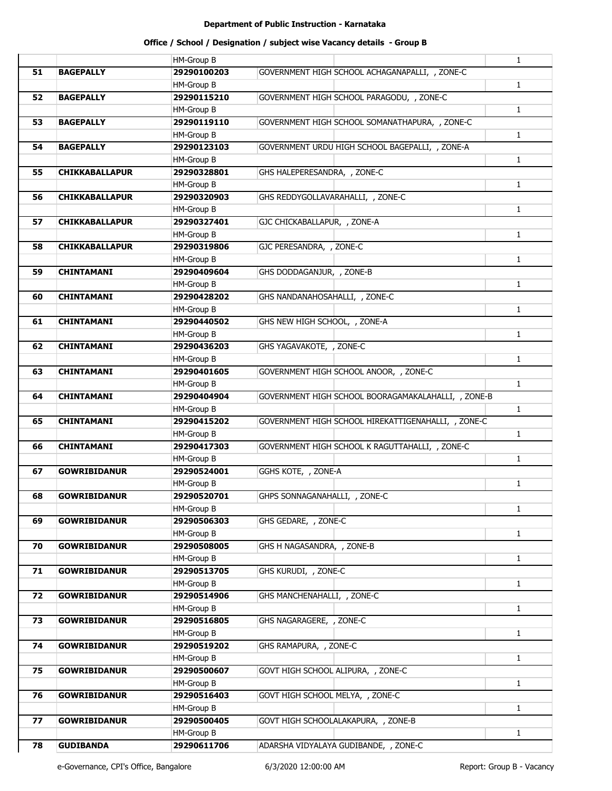|    |                       | <b>HM-Group B</b> |                                                     | $\mathbf{1}$ |
|----|-----------------------|-------------------|-----------------------------------------------------|--------------|
| 51 | <b>BAGEPALLY</b>      | 29290100203       | GOVERNMENT HIGH SCHOOL ACHAGANAPALLI, , ZONE-C      |              |
|    |                       | <b>HM-Group B</b> |                                                     | 1            |
| 52 | <b>BAGEPALLY</b>      | 29290115210       | GOVERNMENT HIGH SCHOOL PARAGODU, , ZONE-C           |              |
|    |                       | <b>HM-Group B</b> |                                                     | $\mathbf{1}$ |
| 53 | <b>BAGEPALLY</b>      | 29290119110       | GOVERNMENT HIGH SCHOOL SOMANATHAPURA, , ZONE-C      |              |
|    |                       | HM-Group B        |                                                     | 1            |
| 54 | <b>BAGEPALLY</b>      | 29290123103       | GOVERNMENT URDU HIGH SCHOOL BAGEPALLI, , ZONE-A     |              |
|    |                       | <b>HM-Group B</b> |                                                     | $\mathbf{1}$ |
| 55 | <b>CHIKKABALLAPUR</b> | 29290328801       | GHS HALEPERESANDRA, , ZONE-C                        |              |
|    |                       | <b>HM-Group B</b> |                                                     | $\mathbf{1}$ |
| 56 | <b>CHIKKABALLAPUR</b> | 29290320903       | GHS REDDYGOLLAVARAHALLI, , ZONE-C                   |              |
|    |                       | <b>HM-Group B</b> |                                                     | $\mathbf{1}$ |
| 57 | <b>CHIKKABALLAPUR</b> | 29290327401       | GJC CHICKABALLAPUR, , ZONE-A                        |              |
|    |                       | <b>HM-Group B</b> |                                                     | $\mathbf{1}$ |
| 58 | <b>CHIKKABALLAPUR</b> | 29290319806       | GJC PERESANDRA, , ZONE-C                            |              |
|    |                       | HM-Group B        |                                                     | $\mathbf{1}$ |
| 59 | <b>CHINTAMANI</b>     | 29290409604       | GHS DODDAGANJUR, , ZONE-B                           |              |
|    |                       | HM-Group B        |                                                     | $\mathbf{1}$ |
| 60 | <b>CHINTAMANI</b>     | 29290428202       | GHS NANDANAHOSAHALLI, , ZONE-C                      |              |
|    |                       |                   |                                                     |              |
|    |                       | <b>HM-Group B</b> |                                                     | $\mathbf{1}$ |
| 61 | <b>CHINTAMANI</b>     | 29290440502       | GHS NEW HIGH SCHOOL, , ZONE-A                       |              |
|    |                       | HM-Group B        |                                                     | $\mathbf{1}$ |
| 62 | <b>CHINTAMANI</b>     | 29290436203       | GHS YAGAVAKOTE, , ZONE-C                            |              |
|    |                       | <b>HM-Group B</b> |                                                     | $\mathbf{1}$ |
| 63 | <b>CHINTAMANI</b>     | 29290401605       | GOVERNMENT HIGH SCHOOL ANOOR, , ZONE-C              |              |
|    |                       | HM-Group B        |                                                     | $\mathbf{1}$ |
| 64 | <b>CHINTAMANI</b>     | 29290404904       | GOVERNMENT HIGH SCHOOL BOORAGAMAKALAHALLI, , ZONE-B |              |
|    |                       | HM-Group B        |                                                     | $\mathbf{1}$ |
| 65 | <b>CHINTAMANI</b>     | 29290415202       | GOVERNMENT HIGH SCHOOL HIREKATTIGENAHALLI, , ZONE-C |              |
|    |                       | <b>HM-Group B</b> |                                                     | $\mathbf{1}$ |
| 66 | <b>CHINTAMANI</b>     | 29290417303       | GOVERNMENT HIGH SCHOOL K RAGUTTAHALLI, , ZONE-C     |              |
|    |                       | <b>HM-Group B</b> |                                                     | $\mathbf{1}$ |
| 67 | <b>GOWRIBIDANUR</b>   | 29290524001       | GGHS KOTE, , ZONE-A                                 |              |
|    |                       | <b>HM-Group B</b> |                                                     | $\mathbf{1}$ |
| 68 | <b>GOWRIBIDANUR</b>   | 29290520701       | GHPS SONNAGANAHALLI, , ZONE-C                       |              |
|    |                       | <b>HM-Group B</b> |                                                     | $\mathbf{1}$ |
| 69 | <b>GOWRIBIDANUR</b>   | 29290506303       | GHS GEDARE, , ZONE-C                                |              |
|    |                       | <b>HM-Group B</b> |                                                     | $\mathbf{1}$ |
| 70 | <b>GOWRIBIDANUR</b>   | 29290508005       | GHS H NAGASANDRA, , ZONE-B                          |              |
|    |                       | <b>HM-Group B</b> |                                                     | $\mathbf{1}$ |
| 71 | <b>GOWRIBIDANUR</b>   | 29290513705       | GHS KURUDI, , ZONE-C                                |              |
|    |                       | <b>HM-Group B</b> |                                                     | $\mathbf{1}$ |
| 72 | <b>GOWRIBIDANUR</b>   | 29290514906       | GHS MANCHENAHALLI, , ZONE-C                         |              |
|    |                       | HM-Group B        |                                                     | $\mathbf{1}$ |
| 73 | <b>GOWRIBIDANUR</b>   | 29290516805       | GHS NAGARAGERE, , ZONE-C                            |              |
|    |                       | HM-Group B        |                                                     | $\mathbf{1}$ |
|    |                       |                   |                                                     |              |
| 74 | <b>GOWRIBIDANUR</b>   | 29290519202       | GHS RAMAPURA, , ZONE-C                              |              |
|    |                       | <b>HM-Group B</b> |                                                     | $\mathbf{1}$ |
| 75 | <b>GOWRIBIDANUR</b>   | 29290500607       | GOVT HIGH SCHOOL ALIPURA, , ZONE-C                  |              |
|    |                       | HM-Group B        |                                                     | $\mathbf{1}$ |
| 76 | <b>GOWRIBIDANUR</b>   | 29290516403       | GOVT HIGH SCHOOL MELYA, , ZONE-C                    |              |
|    |                       | <b>HM-Group B</b> |                                                     | $\mathbf{1}$ |
| 77 | <b>GOWRIBIDANUR</b>   | 29290500405       | GOVT HIGH SCHOOLALAKAPURA, , ZONE-B                 |              |
|    |                       | <b>HM-Group B</b> |                                                     | $\mathbf{1}$ |
| 78 | <b>GUDIBANDA</b>      | 29290611706       | ADARSHA VIDYALAYA GUDIBANDE, , ZONE-C               |              |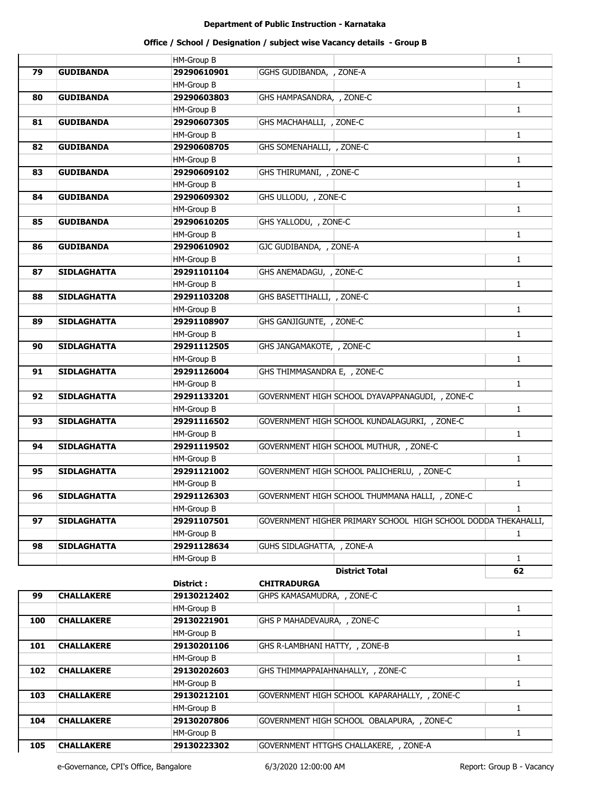# **Office / School / Designation / subject wise Vacancy details - Group B**

|    |                    | <b>HM-Group B</b> |                                                                | $\mathbf{1}$ |
|----|--------------------|-------------------|----------------------------------------------------------------|--------------|
| 79 | <b>GUDIBANDA</b>   | 29290610901       | GGHS GUDIBANDA, , ZONE-A                                       |              |
|    |                    | <b>HM-Group B</b> |                                                                | $\mathbf{1}$ |
| 80 | <b>GUDIBANDA</b>   | 29290603803       | GHS HAMPASANDRA, , ZONE-C                                      |              |
|    |                    | <b>HM-Group B</b> |                                                                | 1            |
| 81 | <b>GUDIBANDA</b>   | 29290607305       | GHS MACHAHALLI, , ZONE-C                                       |              |
|    |                    | <b>HM-Group B</b> |                                                                | $\mathbf{1}$ |
| 82 | <b>GUDIBANDA</b>   | 29290608705       | GHS SOMENAHALLI, , ZONE-C                                      |              |
|    |                    | <b>HM-Group B</b> |                                                                | $\mathbf{1}$ |
| 83 | <b>GUDIBANDA</b>   | 29290609102       | GHS THIRUMANI, , ZONE-C                                        |              |
|    |                    | <b>HM-Group B</b> |                                                                | $\mathbf{1}$ |
| 84 | <b>GUDIBANDA</b>   | 29290609302       | GHS ULLODU, , ZONE-C                                           |              |
|    |                    | <b>HM-Group B</b> |                                                                | $\mathbf{1}$ |
| 85 | <b>GUDIBANDA</b>   | 29290610205       | GHS YALLODU, , ZONE-C                                          |              |
|    |                    | <b>HM-Group B</b> |                                                                | $\mathbf{1}$ |
| 86 | <b>GUDIBANDA</b>   | 29290610902       | GJC GUDIBANDA, , ZONE-A                                        |              |
|    |                    | <b>HM-Group B</b> |                                                                | $\mathbf{1}$ |
| 87 | <b>SIDLAGHATTA</b> | 29291101104       | GHS ANEMADAGU, , ZONE-C                                        |              |
|    |                    | <b>HM-Group B</b> |                                                                | $\mathbf{1}$ |
| 88 | <b>SIDLAGHATTA</b> | 29291103208       | GHS BASETTIHALLI, , ZONE-C                                     |              |
|    |                    | <b>HM-Group B</b> |                                                                | $\mathbf{1}$ |
| 89 | <b>SIDLAGHATTA</b> | 29291108907       | GHS GANJIGUNTE, , ZONE-C                                       |              |
|    |                    | <b>HM-Group B</b> |                                                                | $\mathbf{1}$ |
| 90 | <b>SIDLAGHATTA</b> | 29291112505       | GHS JANGAMAKOTE, , ZONE-C                                      |              |
|    |                    | <b>HM-Group B</b> |                                                                | $\mathbf{1}$ |
| 91 | <b>SIDLAGHATTA</b> | 29291126004       | GHS THIMMASANDRA E, , ZONE-C                                   |              |
|    |                    | <b>HM-Group B</b> |                                                                | $\mathbf{1}$ |
| 92 | <b>SIDLAGHATTA</b> | 29291133201       | GOVERNMENT HIGH SCHOOL DYAVAPPANAGUDI, , ZONE-C                |              |
|    |                    | <b>HM-Group B</b> |                                                                | $\mathbf{1}$ |
| 93 | <b>SIDLAGHATTA</b> | 29291116502       | GOVERNMENT HIGH SCHOOL KUNDALAGURKI, , ZONE-C                  |              |
|    |                    | <b>HM-Group B</b> |                                                                | $\mathbf{1}$ |
| 94 | <b>SIDLAGHATTA</b> | 29291119502       | GOVERNMENT HIGH SCHOOL MUTHUR, , ZONE-C                        |              |
|    |                    | <b>HM-Group B</b> |                                                                | $\mathbf{1}$ |
| 95 | <b>SIDLAGHATTA</b> | 29291121002       | GOVERNMENT HIGH SCHOOL PALICHERLU, , ZONE-C                    |              |
|    |                    | <b>HM-Group B</b> |                                                                | $\mathbf{1}$ |
| 96 | SIDLAGHATTA        | 29291126303       | GOVERNMENT HIGH SCHOOL THUMMANA HALLI, , ZONE-C                |              |
|    |                    | <b>HM-Group B</b> |                                                                | $\mathbf{1}$ |
| 97 | <b>SIDLAGHATTA</b> | 29291107501       | GOVERNMENT HIGHER PRIMARY SCHOOL HIGH SCHOOL DODDA THEKAHALLI, |              |
|    |                    | <b>HM-Group B</b> |                                                                | $\mathbf{1}$ |
| 98 | <b>SIDLAGHATTA</b> | 29291128634       | GUHS SIDLAGHATTA, , ZONE-A                                     |              |
|    |                    | <b>HM-Group B</b> |                                                                | $\mathbf{1}$ |
|    |                    |                   | <b>District Total</b>                                          | 62           |
|    |                    | District:         | <b>CHITRADURGA</b>                                             |              |
| 99 | <b>CHALLAKERE</b>  | 29130212402       | GHPS KAMASAMUDRA, , ZONE-C                                     |              |
|    |                    | HM-Group B        |                                                                | $\mathbf{1}$ |

|     |                   | HM-Group B        |                                              |  |
|-----|-------------------|-------------------|----------------------------------------------|--|
| 100 | <b>CHALLAKERE</b> | 29130221901       | GHS P MAHADEVAURA, , ZONE-C                  |  |
|     |                   | <b>HM-Group B</b> |                                              |  |
| 101 | <b>CHALLAKERE</b> | 29130201106       | GHS R-LAMBHANI HATTY, , ZONE-B               |  |
|     |                   | <b>HM-Group B</b> |                                              |  |
| 102 | <b>CHALLAKERE</b> | 29130202603       | GHS THIMMAPPAIAHNAHALLY, , ZONE-C            |  |
|     |                   | <b>HM-Group B</b> |                                              |  |
| 103 | <b>CHALLAKERE</b> | 29130212101       | GOVERNMENT HIGH SCHOOL KAPARAHALLY, , ZONE-C |  |
|     |                   | <b>HM-Group B</b> |                                              |  |
| 104 | <b>CHALLAKERE</b> | 29130207806       | GOVERNMENT HIGH SCHOOL OBALAPURA, , ZONE-C   |  |
|     |                   | <b>HM-Group B</b> |                                              |  |
| 105 | <b>CHALLAKERE</b> | 29130223302       | GOVERNMENT HTTGHS CHALLAKERE, , ZONE-A       |  |

e-Governance, CPI's Office, Bangalore 6/3/2020 12:00:00 AM Report: Group B - Vacancy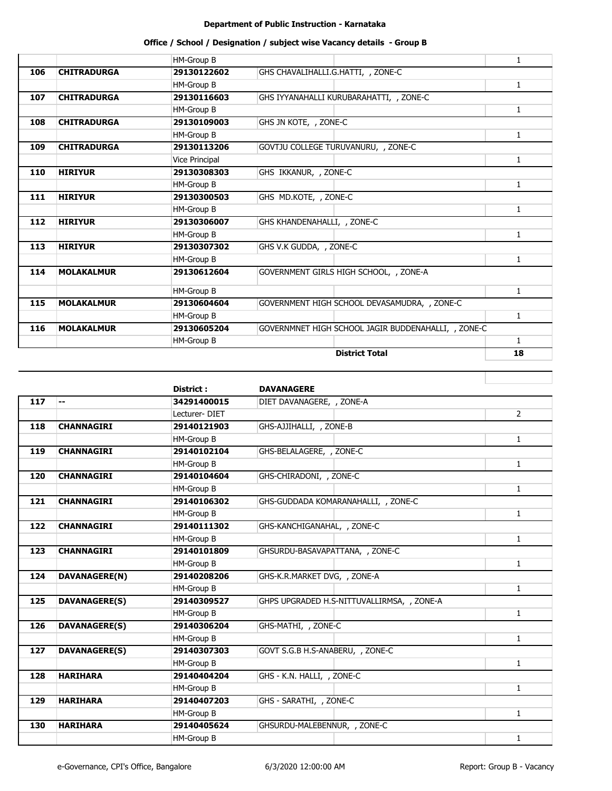# **Office / School / Designation / subject wise Vacancy details - Group B**

|     |                    | HM-Group B     |                                                     | 1            |
|-----|--------------------|----------------|-----------------------------------------------------|--------------|
| 106 | <b>CHITRADURGA</b> | 29130122602    | GHS CHAVALIHALLI.G.HATTI, , ZONE-C                  |              |
|     |                    | HM-Group B     |                                                     | 1            |
| 107 | <b>CHITRADURGA</b> | 29130116603    | GHS IYYANAHALLI KURUBARAHATTI, , ZONE-C             |              |
|     |                    | HM-Group B     |                                                     | 1            |
| 108 | <b>CHITRADURGA</b> | 29130109003    | GHS JN KOTE, , ZONE-C                               |              |
|     |                    | HM-Group B     |                                                     | 1            |
| 109 | <b>CHITRADURGA</b> | 29130113206    | GOVTJU COLLEGE TURUVANURU, , ZONE-C                 |              |
|     |                    | Vice Principal |                                                     | 1            |
| 110 | <b>HIRIYUR</b>     | 29130308303    | GHS IKKANUR, , ZONE-C                               |              |
|     |                    | HM-Group B     |                                                     | 1            |
| 111 | <b>HIRIYUR</b>     | 29130300503    | GHS MD.KOTE, , ZONE-C                               |              |
|     |                    | HM-Group B     |                                                     | $\mathbf{1}$ |
| 112 | <b>HIRIYUR</b>     | 29130306007    | GHS KHANDENAHALLI, , ZONE-C                         |              |
|     |                    | HM-Group B     |                                                     | $\mathbf{1}$ |
| 113 | <b>HIRIYUR</b>     | 29130307302    | GHS V.K GUDDA, , ZONE-C                             |              |
|     |                    | HM-Group B     |                                                     | $\mathbf{1}$ |
| 114 | <b>MOLAKALMUR</b>  | 29130612604    | GOVERNMENT GIRLS HIGH SCHOOL, , ZONE-A              |              |
|     |                    | HM-Group B     |                                                     | $\mathbf{1}$ |
| 115 | <b>MOLAKALMUR</b>  | 29130604604    | GOVERNMENT HIGH SCHOOL DEVASAMUDRA, , ZONE-C        |              |
|     |                    | HM-Group B     |                                                     | $\mathbf{1}$ |
| 116 | <b>MOLAKALMUR</b>  | 29130605204    | GOVERNMNET HIGH SCHOOL JAGIR BUDDENAHALLI, , ZONE-C |              |
|     |                    | HM-Group B     |                                                     | $\mathbf{1}$ |
|     |                    |                | <b>District Total</b>                               | 18           |

|     |                      | District:         | <b>DAVANAGERE</b>                          |              |
|-----|----------------------|-------------------|--------------------------------------------|--------------|
| 117 | --                   | 34291400015       | DIET DAVANAGERE, , ZONE-A                  |              |
|     |                      | Lecturer-DIET     |                                            | $2^{\circ}$  |
| 118 | <b>CHANNAGIRI</b>    | 29140121903       | GHS-AJJIHALLI, , ZONE-B                    |              |
|     |                      | HM-Group B        |                                            | $\mathbf{1}$ |
| 119 | <b>CHANNAGIRI</b>    | 29140102104       | GHS-BELALAGERE, , ZONE-C                   |              |
|     |                      | HM-Group B        |                                            | 1            |
| 120 | <b>CHANNAGIRI</b>    | 29140104604       | GHS-CHIRADONI, , ZONE-C                    |              |
|     |                      | HM-Group B        |                                            | $\mathbf{1}$ |
| 121 | <b>CHANNAGIRI</b>    | 29140106302       | GHS-GUDDADA KOMARANAHALLI, , ZONE-C        |              |
|     |                      | HM-Group B        |                                            | $\mathbf{1}$ |
| 122 | <b>CHANNAGIRI</b>    | 29140111302       | GHS-KANCHIGANAHAL, , ZONE-C                |              |
|     |                      | HM-Group B        |                                            | $\mathbf{1}$ |
| 123 | <b>CHANNAGIRI</b>    | 29140101809       | GHSURDU-BASAVAPATTANA, , ZONE-C            |              |
|     |                      | HM-Group B        |                                            | $\mathbf{1}$ |
| 124 | DAVANAGERE(N)        | 29140208206       | GHS-K.R.MARKET DVG, , ZONE-A               |              |
|     |                      | <b>HM-Group B</b> |                                            | $\mathbf{1}$ |
| 125 | <b>DAVANAGERE(S)</b> | 29140309527       | GHPS UPGRADED H.S-NITTUVALLIRMSA, , ZONE-A |              |
|     |                      | HM-Group B        |                                            | $\mathbf{1}$ |
| 126 | <b>DAVANAGERE(S)</b> | 29140306204       | GHS-MATHI, , ZONE-C                        |              |
|     |                      | <b>HM-Group B</b> |                                            | $\mathbf{1}$ |
| 127 | <b>DAVANAGERE(S)</b> | 29140307303       | GOVT S.G.B H.S-ANABERU, , ZONE-C           |              |
|     |                      | HM-Group B        |                                            | $\mathbf{1}$ |
| 128 | <b>HARIHARA</b>      | 29140404204       | GHS - K.N. HALLI, , ZONE-C                 |              |
|     |                      | HM-Group B        |                                            | $\mathbf{1}$ |
| 129 | <b>HARIHARA</b>      | 29140407203       | GHS - SARATHI, , ZONE-C                    |              |
|     |                      | HM-Group B        |                                            | $\mathbf{1}$ |
| 130 | <b>HARIHARA</b>      | 29140405624       | GHSURDU-MALEBENNUR, , ZONE-C               |              |
|     |                      | HM-Group B        |                                            | $\mathbf{1}$ |

H.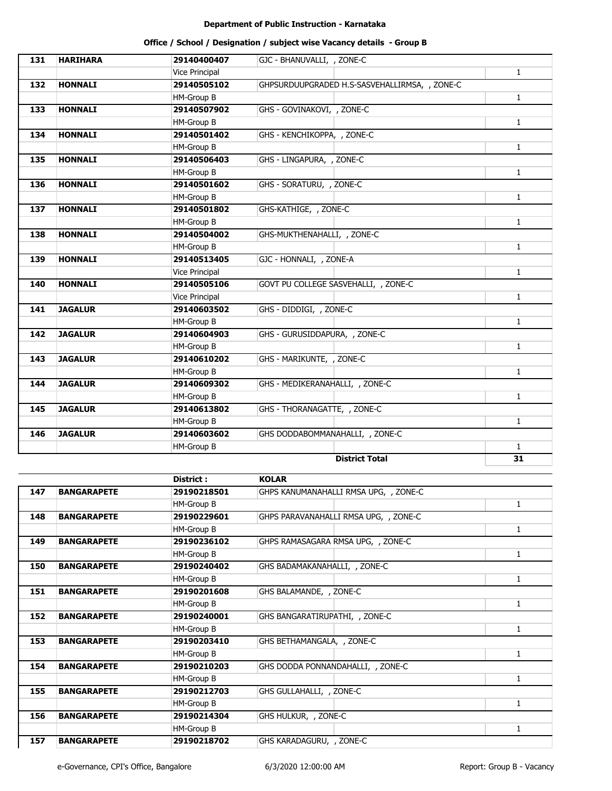| 131 | <b>HARIHARA</b> | 29140400407           | GJC - BHANUVALLI, , ZONE-C                    |              |
|-----|-----------------|-----------------------|-----------------------------------------------|--------------|
|     |                 | Vice Principal        |                                               | $\mathbf{1}$ |
| 132 | <b>HONNALI</b>  | 29140505102           | GHPSURDUUPGRADED H.S-SASVEHALLIRMSA, , ZONE-C |              |
|     |                 | HM-Group B            |                                               | $\mathbf{1}$ |
| 133 | <b>HONNALI</b>  | 29140507902           | GHS - GOVINAKOVI, , ZONE-C                    |              |
|     |                 | HM-Group B            |                                               | $\mathbf{1}$ |
| 134 | <b>HONNALI</b>  | 29140501402           | GHS - KENCHIKOPPA, , ZONE-C                   |              |
|     |                 | HM-Group B            |                                               | $\mathbf{1}$ |
| 135 | <b>HONNALI</b>  | 29140506403           | GHS - LINGAPURA, , ZONE-C                     |              |
|     |                 | HM-Group B            |                                               | $\mathbf{1}$ |
| 136 | <b>HONNALI</b>  | 29140501602           | GHS - SORATURU, , ZONE-C                      |              |
|     |                 | HM-Group B            |                                               | $\mathbf{1}$ |
| 137 | <b>HONNALI</b>  | 29140501802           | GHS-KATHIGE, , ZONE-C                         |              |
|     |                 | HM-Group B            |                                               | $\mathbf{1}$ |
| 138 | <b>HONNALI</b>  | 29140504002           | GHS-MUKTHENAHALLI, , ZONE-C                   |              |
|     |                 | HM-Group B            |                                               | $\mathbf{1}$ |
| 139 | <b>HONNALI</b>  | 29140513405           | GJC - HONNALI, , ZONE-A                       |              |
|     |                 | Vice Principal        |                                               | $\mathbf{1}$ |
| 140 | <b>HONNALI</b>  | 29140505106           | GOVT PU COLLEGE SASVEHALLI, , ZONE-C          |              |
|     |                 | <b>Vice Principal</b> |                                               | $\mathbf{1}$ |
| 141 | <b>JAGALUR</b>  | 29140603502           | GHS - DIDDIGI, , ZONE-C                       |              |
|     |                 | HM-Group B            |                                               | $\mathbf{1}$ |
| 142 | <b>JAGALUR</b>  | 29140604903           | GHS - GURUSIDDAPURA, , ZONE-C                 |              |
|     |                 | HM-Group B            |                                               | $\mathbf{1}$ |
| 143 | <b>JAGALUR</b>  | 29140610202           | GHS - MARIKUNTE, , ZONE-C                     |              |
|     |                 | HM-Group B            |                                               | $\mathbf{1}$ |
| 144 | <b>JAGALUR</b>  | 29140609302           | GHS - MEDIKERANAHALLI, , ZONE-C               |              |
|     |                 | HM-Group B            |                                               | $\mathbf{1}$ |
| 145 | <b>JAGALUR</b>  | 29140613802           | GHS - THORANAGATTE, , ZONE-C                  |              |
|     |                 | HM-Group B            |                                               | $\mathbf{1}$ |
| 146 | <b>JAGALUR</b>  | 29140603602           | GHS DODDABOMMANAHALLI, , ZONE-C               |              |
|     |                 | HM-Group B            |                                               | $\mathbf{1}$ |
|     |                 |                       | <b>District Total</b>                         | 31           |

|     |                    | District :  | <b>KOLAR</b>                          |   |
|-----|--------------------|-------------|---------------------------------------|---|
| 147 | <b>BANGARAPETE</b> | 29190218501 | GHPS KANUMANAHALLI RMSA UPG, , ZONE-C |   |
|     |                    | HM-Group B  |                                       | 1 |
| 148 | <b>BANGARAPETE</b> | 29190229601 | GHPS PARAVANAHALLI RMSA UPG, , ZONE-C |   |
|     |                    | HM-Group B  |                                       | 1 |
| 149 | <b>BANGARAPETE</b> | 29190236102 | GHPS RAMASAGARA RMSA UPG, , ZONE-C    |   |
|     |                    | HM-Group B  |                                       | 1 |
| 150 | <b>BANGARAPETE</b> | 29190240402 | GHS BADAMAKANAHALLI, , ZONE-C         |   |
|     |                    | HM-Group B  |                                       | 1 |
| 151 | <b>BANGARAPETE</b> | 29190201608 | GHS BALAMANDE, , ZONE-C               |   |
|     |                    | HM-Group B  |                                       | 1 |
| 152 | <b>BANGARAPETE</b> | 29190240001 | GHS BANGARATIRUPATHI, , ZONE-C        |   |
|     |                    | HM-Group B  |                                       | 1 |
| 153 | <b>BANGARAPETE</b> | 29190203410 | GHS BETHAMANGALA, , ZONE-C            |   |
|     |                    | HM-Group B  |                                       | 1 |
| 154 | <b>BANGARAPETE</b> | 29190210203 | GHS DODDA PONNANDAHALLI, , ZONE-C     |   |
|     |                    | HM-Group B  |                                       | 1 |
| 155 | <b>BANGARAPETE</b> | 29190212703 | GHS GULLAHALLI, , ZONE-C              |   |
|     |                    | HM-Group B  |                                       | 1 |
| 156 | <b>BANGARAPETE</b> | 29190214304 | GHS HULKUR, , ZONE-C                  |   |
|     |                    | HM-Group B  |                                       | 1 |
| 157 | <b>BANGARAPETE</b> | 29190218702 | GHS KARADAGURU, , ZONE-C              |   |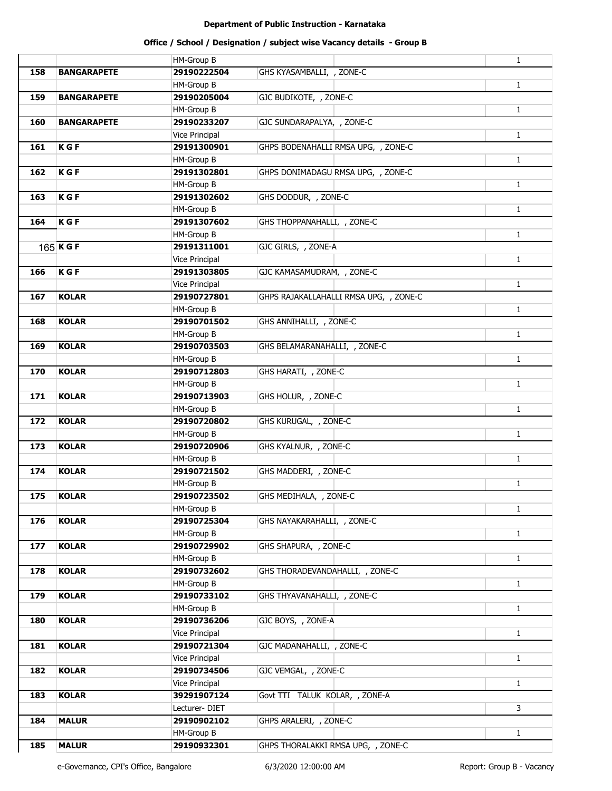# **Office / School / Designation / subject wise Vacancy details - Group B**

|     |                    | HM-Group B            |                                        | $\mathbf{1}$ |
|-----|--------------------|-----------------------|----------------------------------------|--------------|
| 158 | <b>BANGARAPETE</b> | 29190222504           | GHS KYASAMBALLI, , ZONE-C              |              |
|     |                    | <b>HM-Group B</b>     |                                        | $\mathbf{1}$ |
| 159 | <b>BANGARAPETE</b> | 29190205004           | GJC BUDIKOTE, , ZONE-C                 |              |
|     |                    | <b>HM-Group B</b>     |                                        | $\mathbf{1}$ |
| 160 | <b>BANGARAPETE</b> | 29190233207           | GJC SUNDARAPALYA, , ZONE-C             |              |
|     |                    | Vice Principal        |                                        | $\mathbf{1}$ |
| 161 | K G F              | 29191300901           | GHPS BODENAHALLI RMSA UPG, , ZONE-C    |              |
|     |                    | <b>HM-Group B</b>     |                                        | $\mathbf{1}$ |
| 162 | K G F              | 29191302801           | GHPS DONIMADAGU RMSA UPG, , ZONE-C     |              |
|     |                    | <b>HM-Group B</b>     |                                        | $\mathbf{1}$ |
| 163 | <b>KGF</b>         | 29191302602           | GHS DODDUR, , ZONE-C                   |              |
|     |                    | <b>HM-Group B</b>     |                                        | $\mathbf{1}$ |
| 164 | <b>KGF</b>         | 29191307602           | GHS THOPPANAHALLI, , ZONE-C            |              |
|     |                    | <b>HM-Group B</b>     |                                        | $\mathbf{1}$ |
|     | $165$ K G F        | 29191311001           | GJC GIRLS, , ZONE-A                    |              |
|     |                    | <b>Vice Principal</b> |                                        | $\mathbf{1}$ |
| 166 | $K$ G F            | 29191303805           | GJC KAMASAMUDRAM, , ZONE-C             |              |
|     |                    | Vice Principal        |                                        | $\mathbf{1}$ |
| 167 | <b>KOLAR</b>       | 29190727801           | GHPS RAJAKALLAHALLI RMSA UPG, , ZONE-C |              |
|     |                    | <b>HM-Group B</b>     |                                        | $\mathbf{1}$ |
| 168 | <b>KOLAR</b>       | 29190701502           | GHS ANNIHALLI, , ZONE-C                |              |
|     |                    | <b>HM-Group B</b>     |                                        | $\mathbf{1}$ |
| 169 | <b>KOLAR</b>       | 29190703503           | GHS BELAMARANAHALLI, , ZONE-C          |              |
|     |                    | <b>HM-Group B</b>     |                                        | $\mathbf{1}$ |
| 170 | <b>KOLAR</b>       | 29190712803           | GHS HARATI, , ZONE-C                   |              |
|     |                    | <b>HM-Group B</b>     |                                        | $\mathbf{1}$ |
| 171 | <b>KOLAR</b>       | 29190713903           | GHS HOLUR, , ZONE-C                    |              |
|     |                    | <b>HM-Group B</b>     |                                        | $\mathbf{1}$ |
| 172 | <b>KOLAR</b>       | 29190720802           | GHS KURUGAL, , ZONE-C                  |              |
|     |                    | <b>HM-Group B</b>     |                                        | $\mathbf{1}$ |
| 173 | <b>KOLAR</b>       | 29190720906           | GHS KYALNUR, , ZONE-C                  |              |
|     |                    | <b>HM-Group B</b>     |                                        | $\mathbf{1}$ |
| 174 | <b>KOLAR</b>       | 29190721502           | GHS MADDERI, , ZONE-C                  |              |
|     |                    | <b>HM-Group B</b>     |                                        | $\mathbf{1}$ |
| 175 | <b>KOLAR</b>       | 29190723502           | GHS MEDIHALA, , ZONE-C                 |              |
|     |                    | <b>HM-Group B</b>     |                                        | $\mathbf{1}$ |
| 176 | <b>KOLAR</b>       | 29190725304           | GHS NAYAKARAHALLI, , ZONE-C            |              |
|     |                    | <b>HM-Group B</b>     |                                        | $\mathbf{1}$ |
| 177 | <b>KOLAR</b>       | 29190729902           | GHS SHAPURA, , ZONE-C                  |              |
|     |                    | HM-Group B            |                                        | $\mathbf{1}$ |
| 178 | <b>KOLAR</b>       | 29190732602           | GHS THORADEVANDAHALLI, , ZONE-C        |              |
|     |                    | HM-Group B            |                                        | $\mathbf{1}$ |
| 179 | <b>KOLAR</b>       | 29190733102           | GHS THYAVANAHALLI, , ZONE-C            |              |
|     |                    | <b>HM-Group B</b>     |                                        | $\mathbf{1}$ |
| 180 | <b>KOLAR</b>       | 29190736206           | GJC BOYS, , ZONE-A                     |              |
|     |                    | Vice Principal        |                                        | $\mathbf{1}$ |
| 181 | <b>KOLAR</b>       | 29190721304           | GJC MADANAHALLI, , ZONE-C              |              |
|     |                    | Vice Principal        |                                        | $\mathbf{1}$ |
| 182 | <b>KOLAR</b>       | 29190734506           | GJC VEMGAL, , ZONE-C                   |              |
|     |                    | Vice Principal        |                                        | $\mathbf{1}$ |
| 183 | <b>KOLAR</b>       | 39291907124           | Govt TTI TALUK KOLAR, , ZONE-A         |              |
|     |                    | Lecturer-DIET         |                                        | 3            |
| 184 | <b>MALUR</b>       | 29190902102           | GHPS ARALERI, , ZONE-C                 |              |
|     |                    | <b>HM-Group B</b>     |                                        | $\mathbf{1}$ |
| 185 | <b>MALUR</b>       | 29190932301           | GHPS THORALAKKI RMSA UPG, , ZONE-C     |              |
|     |                    |                       |                                        |              |

e-Governance, CPI's Office, Bangalore 6/3/2020 12:00:00 AM Report: Group B - Vacancy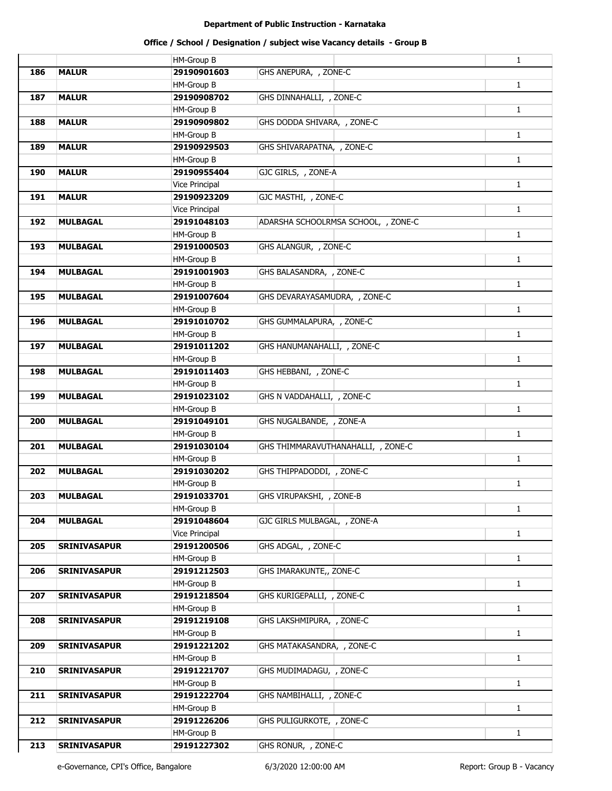|     |                     | <b>HM-Group B</b>     |                                     | $\mathbf{1}$ |
|-----|---------------------|-----------------------|-------------------------------------|--------------|
| 186 | <b>MALUR</b>        | 29190901603           | GHS ANEPURA, , ZONE-C               |              |
|     |                     |                       |                                     |              |
|     |                     | <b>HM-Group B</b>     |                                     | $\mathbf{1}$ |
| 187 | <b>MALUR</b>        | 29190908702           | GHS DINNAHALLI, , ZONE-C            |              |
|     |                     | <b>HM-Group B</b>     |                                     | $\mathbf{1}$ |
| 188 | <b>MALUR</b>        | 29190909802           | GHS DODDA SHIVARA, , ZONE-C         |              |
|     |                     | <b>HM-Group B</b>     |                                     | $\mathbf{1}$ |
| 189 | <b>MALUR</b>        | 29190929503           | GHS SHIVARAPATNA, , ZONE-C          |              |
|     |                     | HM-Group B            |                                     | $\mathbf{1}$ |
| 190 | <b>MALUR</b>        | 29190955404           | GJC GIRLS, , ZONE-A                 |              |
|     |                     | Vice Principal        |                                     | $\mathbf{1}$ |
| 191 | <b>MALUR</b>        | 29190923209           | GJC MASTHI, , ZONE-C                |              |
|     |                     | Vice Principal        |                                     | $\mathbf{1}$ |
| 192 | <b>MULBAGAL</b>     | 29191048103           | ADARSHA SCHOOLRMSA SCHOOL, , ZONE-C |              |
|     |                     | <b>HM-Group B</b>     |                                     | $\mathbf{1}$ |
| 193 | <b>MULBAGAL</b>     | 29191000503           | GHS ALANGUR, , ZONE-C               |              |
|     |                     | <b>HM-Group B</b>     |                                     | $\mathbf{1}$ |
| 194 | <b>MULBAGAL</b>     | 29191001903           | GHS BALASANDRA, , ZONE-C            |              |
|     |                     | <b>HM-Group B</b>     |                                     | $\mathbf{1}$ |
| 195 | <b>MULBAGAL</b>     | 29191007604           | GHS DEVARAYASAMUDRA, , ZONE-C       |              |
|     |                     | HM-Group B            |                                     | $\mathbf{1}$ |
| 196 | <b>MULBAGAL</b>     | 29191010702           | GHS GUMMALAPURA, , ZONE-C           |              |
|     |                     |                       |                                     |              |
|     |                     | HM-Group B            |                                     | $\mathbf{1}$ |
| 197 | <b>MULBAGAL</b>     | 29191011202           | GHS HANUMANAHALLI, , ZONE-C         |              |
|     |                     | <b>HM-Group B</b>     |                                     | $\mathbf{1}$ |
| 198 | <b>MULBAGAL</b>     | 29191011403           | GHS HEBBANI, , ZONE-C               |              |
|     |                     | <b>HM-Group B</b>     |                                     | $\mathbf{1}$ |
| 199 | <b>MULBAGAL</b>     | 29191023102           | GHS N VADDAHALLI, , ZONE-C          |              |
|     |                     | <b>HM-Group B</b>     |                                     | $\mathbf{1}$ |
| 200 | <b>MULBAGAL</b>     | 29191049101           | GHS NUGALBANDE, , ZONE-A            |              |
|     |                     | <b>HM-Group B</b>     |                                     | $\mathbf{1}$ |
| 201 | <b>MULBAGAL</b>     | 29191030104           | GHS THIMMARAVUTHANAHALLI, , ZONE-C  |              |
|     |                     | <b>HM-Group B</b>     |                                     | $\mathbf{1}$ |
| 202 | <b>MULBAGAL</b>     | 29191030202           | GHS THIPPADODDI, , ZONE-C           |              |
|     |                     | HM-Group B            |                                     | $\mathbf{1}$ |
| 203 | <b>MULBAGAL</b>     | 29191033701           | GHS VIRUPAKSHI, , ZONE-B            |              |
|     |                     | <b>HM-Group B</b>     |                                     | $\mathbf{1}$ |
| 204 | <b>MULBAGAL</b>     | 29191048604           | GJC GIRLS MULBAGAL, , ZONE-A        |              |
|     |                     | <b>Vice Principal</b> |                                     | $\mathbf{1}$ |
| 205 | <b>SRINIVASAPUR</b> | 29191200506           | GHS ADGAL, , ZONE-C                 |              |
|     |                     | <b>HM-Group B</b>     |                                     | $\mathbf{1}$ |
| 206 | <b>SRINIVASAPUR</b> | 29191212503           | GHS IMARAKUNTE,, ZONE-C             |              |
|     |                     | <b>HM-Group B</b>     |                                     | $\mathbf{1}$ |
| 207 | <b>SRINIVASAPUR</b> | 29191218504           | GHS KURIGEPALLI, , ZONE-C           |              |
|     |                     | HM-Group B            |                                     | $\mathbf{1}$ |
| 208 | <b>SRINIVASAPUR</b> | 29191219108           | GHS LAKSHMIPURA, , ZONE-C           |              |
|     |                     |                       |                                     |              |
|     |                     | HM-Group B            |                                     | $\mathbf{1}$ |
| 209 | <b>SRINIVASAPUR</b> | 29191221202           | GHS MATAKASANDRA, , ZONE-C          |              |
|     |                     | <b>HM-Group B</b>     |                                     | $\mathbf{1}$ |
| 210 | <b>SRINIVASAPUR</b> | 29191221707           | GHS MUDIMADAGU, , ZONE-C            |              |
|     |                     | HM-Group B            |                                     | $\mathbf{1}$ |
| 211 | <b>SRINIVASAPUR</b> | 29191222704           | GHS NAMBIHALLI, , ZONE-C            |              |
|     |                     | <b>HM-Group B</b>     |                                     | $\mathbf{1}$ |
| 212 | <b>SRINIVASAPUR</b> | 29191226206           | GHS PULIGURKOTE, , ZONE-C           |              |
|     |                     | <b>HM-Group B</b>     |                                     | $\mathbf{1}$ |
| 213 | <b>SRINIVASAPUR</b> | 29191227302           | GHS RONUR, , ZONE-C                 |              |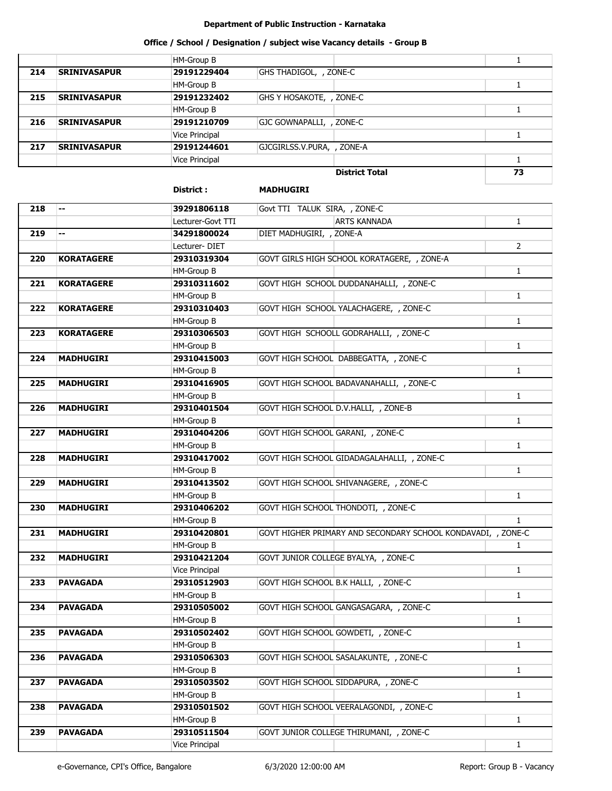# **Office / School / Designation / subject wise Vacancy details - Group B**

|     |                     | HM-Group B     |                            |    |
|-----|---------------------|----------------|----------------------------|----|
| 214 | <b>SRINIVASAPUR</b> | 29191229404    | GHS THADIGOL, , ZONE-C     |    |
|     |                     | HM-Group B     |                            |    |
| 215 | <b>SRINIVASAPUR</b> | 29191232402    | GHS Y HOSAKOTE, , ZONE-C   |    |
|     |                     | HM-Group B     |                            |    |
| 216 | <b>SRINIVASAPUR</b> | 29191210709    | GJC GOWNAPALLI, , ZONE-C   |    |
|     |                     | Vice Principal |                            |    |
| 217 | <b>SRINIVASAPUR</b> | 29191244601    | GJCGIRLSS.V.PURA, , ZONE-A |    |
|     |                     | Vice Principal |                            |    |
|     |                     |                | <b>District Total</b>      | 73 |

|                  |                   | District:         | <b>MADHUGIRI</b>                                             |  |
|------------------|-------------------|-------------------|--------------------------------------------------------------|--|
| 218              | н.                | 39291806118       | Govt TTI TALUK SIRA, , ZONE-C                                |  |
|                  |                   | Lecturer-Govt TTI | <b>ARTS KANNADA</b><br>$\mathbf{1}$                          |  |
| $\overline{219}$ | ⊷                 | 34291800024       | DIET MADHUGIRI, , ZONE-A                                     |  |
|                  |                   | Lecturer-DIET     | $\overline{2}$                                               |  |
| 220              | <b>KORATAGERE</b> | 29310319304       | GOVT GIRLS HIGH SCHOOL KORATAGERE, , ZONE-A                  |  |
|                  |                   | HM-Group B        | $\mathbf{1}$                                                 |  |
| 221              | <b>KORATAGERE</b> | 29310311602       | GOVT HIGH SCHOOL DUDDANAHALLI, , ZONE-C                      |  |
|                  |                   | HM-Group B        | $\mathbf{1}$                                                 |  |
| 222              | <b>KORATAGERE</b> | 29310310403       | GOVT HIGH SCHOOL YALACHAGERE, , ZONE-C                       |  |
|                  |                   | HM-Group B        | 1                                                            |  |
| 223              | <b>KORATAGERE</b> | 29310306503       | GOVT HIGH SCHOOLL GODRAHALLI, , ZONE-C                       |  |
|                  |                   | HM-Group B        | 1                                                            |  |
| 224              | <b>MADHUGIRI</b>  | 29310415003       | GOVT HIGH SCHOOL DABBEGATTA, , ZONE-C                        |  |
|                  |                   | HM-Group B        | 1                                                            |  |
| 225              | <b>MADHUGIRI</b>  | 29310416905       | GOVT HIGH SCHOOL BADAVANAHALLI, , ZONE-C                     |  |
|                  |                   | HM-Group B        | 1                                                            |  |
| 226              | <b>MADHUGIRI</b>  | 29310401504       | GOVT HIGH SCHOOL D.V.HALLI, , ZONE-B                         |  |
|                  |                   | HM-Group B        | 1                                                            |  |
| 227              | <b>MADHUGIRI</b>  | 29310404206       | GOVT HIGH SCHOOL GARANI, , ZONE-C                            |  |
|                  |                   | HM-Group B        | 1                                                            |  |
| 228              | <b>MADHUGIRI</b>  | 29310417002       | GOVT HIGH SCHOOL GIDADAGALAHALLI, , ZONE-C                   |  |
|                  |                   | HM-Group B        | 1                                                            |  |
| 229              | <b>MADHUGIRI</b>  | 29310413502       | GOVT HIGH SCHOOL SHIVANAGERE, , ZONE-C                       |  |
|                  |                   | HM-Group B        | 1                                                            |  |
| 230              | <b>MADHUGIRI</b>  | 29310406202       | GOVT HIGH SCHOOL THONDOTI, , ZONE-C                          |  |
|                  |                   | HM-Group B        | $\mathbf{1}$                                                 |  |
| 231              | <b>MADHUGIRI</b>  | 29310420801       | GOVT HIGHER PRIMARY AND SECONDARY SCHOOL KONDAVADI, , ZONE-C |  |
|                  |                   | HM-Group B        | $\mathbf{1}$                                                 |  |
| 232              | <b>MADHUGIRI</b>  | 29310421204       | GOVT JUNIOR COLLEGE BYALYA, , ZONE-C                         |  |
|                  |                   | Vice Principal    | $\mathbf{1}$                                                 |  |
| 233              | <b>PAVAGADA</b>   | 29310512903       | GOVT HIGH SCHOOL B.K HALLI, , ZONE-C                         |  |
|                  |                   | HM-Group B        | 1                                                            |  |
| 234              | <b>PAVAGADA</b>   | 29310505002       | GOVT HIGH SCHOOL GANGASAGARA, , ZONE-C                       |  |
|                  |                   | HM-Group B        | $\mathbf{1}$                                                 |  |
| 235              | <b>PAVAGADA</b>   | 29310502402       | GOVT HIGH SCHOOL GOWDETI, , ZONE-C                           |  |
|                  |                   | HM-Group B        | 1                                                            |  |
| 236              | <b>PAVAGADA</b>   | 29310506303       | GOVT HIGH SCHOOL SASALAKUNTE, , ZONE-C                       |  |
|                  |                   | HM-Group B        | $\mathbf{1}$                                                 |  |
| 237              | <b>PAVAGADA</b>   | 29310503502       | GOVT HIGH SCHOOL SIDDAPURA, , ZONE-C                         |  |
|                  |                   | HM-Group B        | $\mathbf{1}$                                                 |  |
| 238              | PAVAGADA          | 29310501502       | GOVT HIGH SCHOOL VEERALAGONDI, , ZONE-C                      |  |
|                  |                   | HM-Group B        | $\mathbf{1}$                                                 |  |
| 239              | <b>PAVAGADA</b>   | 29310511504       | GOVT JUNIOR COLLEGE THIRUMANI, , ZONE-C                      |  |

Vice Principal

1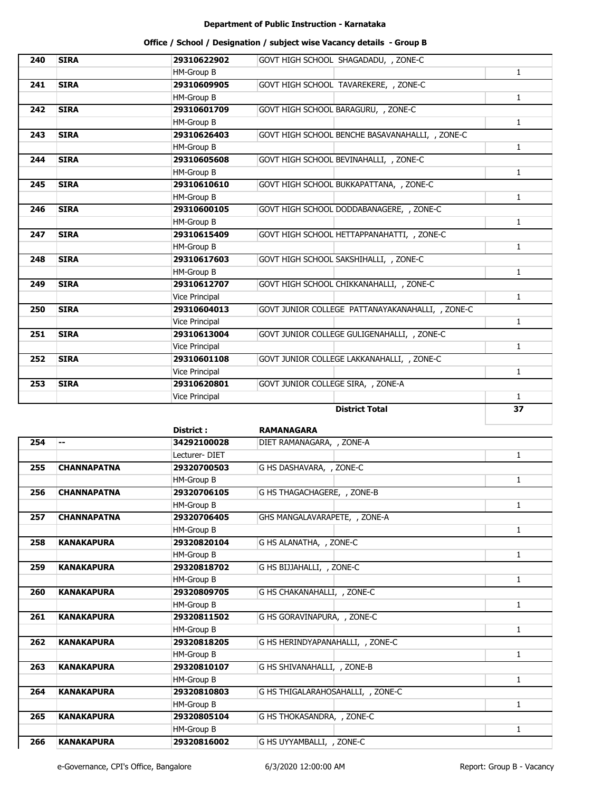| 240 | <b>SIRA</b> | 29310622902           | GOVT HIGH SCHOOL SHAGADADU, , ZONE-C             |              |
|-----|-------------|-----------------------|--------------------------------------------------|--------------|
|     |             | HM-Group B            |                                                  | $\mathbf{1}$ |
| 241 | <b>SIRA</b> | 29310609905           | GOVT HIGH SCHOOL TAVAREKERE, , ZONE-C            |              |
|     |             | HM-Group B            |                                                  | $\mathbf{1}$ |
| 242 | <b>SIRA</b> | 29310601709           | GOVT HIGH SCHOOL BARAGURU, , ZONE-C              |              |
|     |             | HM-Group B            |                                                  | $\mathbf{1}$ |
| 243 | <b>SIRA</b> | 29310626403           | GOVT HIGH SCHOOL BENCHE BASAVANAHALLI, , ZONE-C  |              |
|     |             | HM-Group B            |                                                  | $\mathbf{1}$ |
| 244 | <b>SIRA</b> | 29310605608           | GOVT HIGH SCHOOL BEVINAHALLI, , ZONE-C           |              |
|     |             | HM-Group B            |                                                  | $\mathbf{1}$ |
| 245 | <b>SIRA</b> | 29310610610           | GOVT HIGH SCHOOL BUKKAPATTANA, , ZONE-C          |              |
|     |             | HM-Group B            |                                                  | $\mathbf{1}$ |
| 246 | <b>SIRA</b> | 29310600105           | GOVT HIGH SCHOOL DODDABANAGERE, , ZONE-C         |              |
|     |             | HM-Group B            |                                                  | $\mathbf{1}$ |
| 247 | <b>SIRA</b> | 29310615409           | GOVT HIGH SCHOOL HETTAPPANAHATTI, , ZONE-C       |              |
|     |             | HM-Group B            |                                                  | $\mathbf{1}$ |
| 248 | <b>SIRA</b> | 29310617603           | GOVT HIGH SCHOOL SAKSHIHALLI, , ZONE-C           |              |
|     |             | HM-Group B            |                                                  | $\mathbf{1}$ |
| 249 | <b>SIRA</b> | 29310612707           | GOVT HIGH SCHOOL CHIKKANAHALLI, , ZONE-C         |              |
|     |             | Vice Principal        |                                                  | $\mathbf{1}$ |
| 250 | <b>SIRA</b> | 29310604013           | GOVT JUNIOR COLLEGE PATTANAYAKANAHALLI, , ZONE-C |              |
|     |             | <b>Vice Principal</b> |                                                  | $\mathbf{1}$ |
| 251 | <b>SIRA</b> | 29310613004           | GOVT JUNIOR COLLEGE GULIGENAHALLI, , ZONE-C      |              |
|     |             | <b>Vice Principal</b> |                                                  | $\mathbf{1}$ |
| 252 | <b>SIRA</b> | 29310601108           | GOVT JUNIOR COLLEGE LAKKANAHALLI, , ZONE-C       |              |
|     |             | Vice Principal        |                                                  | $\mathbf{1}$ |
| 253 | <b>SIRA</b> | 29310620801           | GOVT JUNIOR COLLEGE SIRA, , ZONE-A               |              |
|     |             | Vice Principal        |                                                  | $\mathbf{1}$ |
|     |             |                       | <b>District Total</b>                            | 37           |

|     |                    | District :    | <b>RAMANAGARA</b>                 |              |
|-----|--------------------|---------------|-----------------------------------|--------------|
| 254 | --                 | 34292100028   | DIET RAMANAGARA, , ZONE-A         |              |
|     |                    | Lecturer-DIET |                                   | $\mathbf{1}$ |
| 255 | <b>CHANNAPATNA</b> | 29320700503   | G HS DASHAVARA, , ZONE-C          |              |
|     |                    | HM-Group B    |                                   | $\mathbf{1}$ |
| 256 | <b>CHANNAPATNA</b> | 29320706105   | G HS THAGACHAGERE, , ZONE-B       |              |
|     |                    | HM-Group B    |                                   | $\mathbf{1}$ |
| 257 | <b>CHANNAPATNA</b> | 29320706405   | GHS MANGALAVARAPETE, , ZONE-A     |              |
|     |                    | HM-Group B    |                                   | 1            |
| 258 | <b>KANAKAPURA</b>  | 29320820104   | G HS ALANATHA, , ZONE-C           |              |
|     |                    | HM-Group B    |                                   | $\mathbf{1}$ |
| 259 | <b>KANAKAPURA</b>  | 29320818702   | G HS BIJJAHALLI, , ZONE-C         |              |
|     |                    | HM-Group B    |                                   | $\mathbf{1}$ |
| 260 | <b>KANAKAPURA</b>  | 29320809705   | G HS CHAKANAHALLI, , ZONE-C       |              |
|     |                    | HM-Group B    |                                   | 1            |
| 261 | <b>KANAKAPURA</b>  | 29320811502   | G HS GORAVINAPURA, , ZONE-C       |              |
|     |                    | HM-Group B    |                                   | 1            |
| 262 | <b>KANAKAPURA</b>  | 29320818205   | G HS HERINDYAPANAHALLI, , ZONE-C  |              |
|     |                    | HM-Group B    |                                   | $\mathbf{1}$ |
| 263 | <b>KANAKAPURA</b>  | 29320810107   | G HS SHIVANAHALLI, , ZONE-B       |              |
|     |                    | HM-Group B    |                                   | 1            |
| 264 | <b>KANAKAPURA</b>  | 29320810803   | G HS THIGALARAHOSAHALLI, , ZONE-C |              |
|     |                    | HM-Group B    |                                   | $\mathbf{1}$ |
| 265 | <b>KANAKAPURA</b>  | 29320805104   | G HS THOKASANDRA, , ZONE-C        |              |
|     |                    | HM-Group B    |                                   | 1            |
| 266 | <b>KANAKAPURA</b>  | 29320816002   | G HS UYYAMBALLI, , ZONE-C         |              |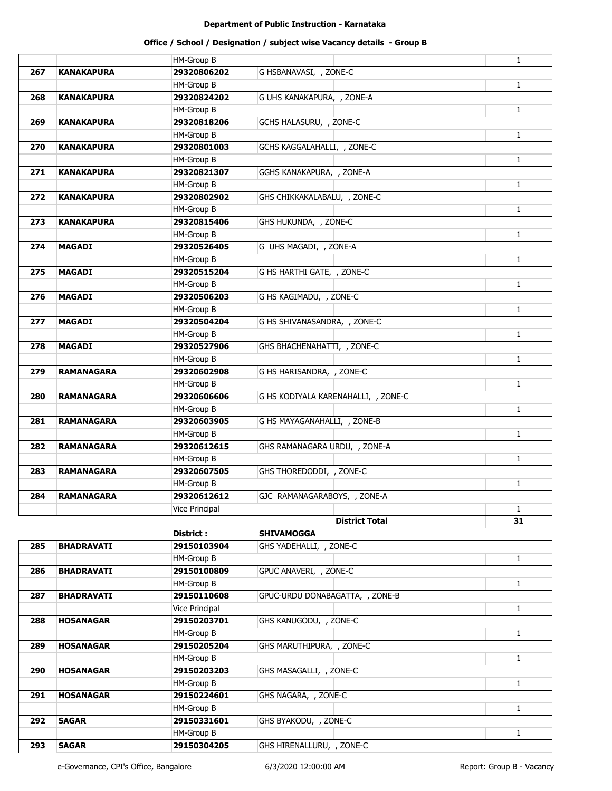## **Office / School / Designation / subject wise Vacancy details - Group B**

|     |                   | <b>HM-Group B</b> |                                     | $\mathbf{1}$ |
|-----|-------------------|-------------------|-------------------------------------|--------------|
| 267 | <b>KANAKAPURA</b> | 29320806202       | G HSBANAVASI, , ZONE-C              |              |
|     |                   | <b>HM-Group B</b> |                                     | $\mathbf{1}$ |
| 268 | <b>KANAKAPURA</b> | 29320824202       | G UHS KANAKAPURA, , ZONE-A          |              |
|     |                   | <b>HM-Group B</b> |                                     | $\mathbf{1}$ |
| 269 | <b>KANAKAPURA</b> | 29320818206       | GCHS HALASURU, , ZONE-C             |              |
|     |                   | HM-Group B        |                                     | $\mathbf{1}$ |
| 270 | <b>KANAKAPURA</b> | 29320801003       | GCHS KAGGALAHALLI, , ZONE-C         |              |
|     |                   | <b>HM-Group B</b> |                                     | $\mathbf{1}$ |
| 271 | <b>KANAKAPURA</b> | 29320821307       | GGHS KANAKAPURA, , ZONE-A           |              |
|     |                   | <b>HM-Group B</b> |                                     | $\mathbf{1}$ |
| 272 | <b>KANAKAPURA</b> | 29320802902       | GHS CHIKKAKALABALU, , ZONE-C        |              |
|     |                   | <b>HM-Group B</b> |                                     | $\mathbf{1}$ |
| 273 | <b>KANAKAPURA</b> | 29320815406       | GHS HUKUNDA, , ZONE-C               |              |
|     |                   | <b>HM-Group B</b> |                                     | $\mathbf{1}$ |
| 274 | <b>MAGADI</b>     | 29320526405       | G UHS MAGADI, , ZONE-A              |              |
|     |                   | <b>HM-Group B</b> |                                     | $\mathbf{1}$ |
| 275 | <b>MAGADI</b>     | 29320515204       | G HS HARTHI GATE, , ZONE-C          |              |
|     |                   | HM-Group B        |                                     | $\mathbf{1}$ |
| 276 | <b>MAGADI</b>     | 29320506203       | G HS KAGIMADU, , ZONE-C             |              |
|     |                   | <b>HM-Group B</b> |                                     | $\mathbf{1}$ |
| 277 | <b>MAGADI</b>     | 29320504204       | G HS SHIVANASANDRA, , ZONE-C        |              |
|     |                   | <b>HM-Group B</b> |                                     | $\mathbf{1}$ |
| 278 | <b>MAGADI</b>     | 29320527906       | GHS BHACHENAHATTI, , ZONE-C         |              |
|     |                   | <b>HM-Group B</b> |                                     | $\mathbf{1}$ |
| 279 | <b>RAMANAGARA</b> | 29320602908       | G HS HARISANDRA, , ZONE-C           |              |
|     |                   | <b>HM-Group B</b> |                                     | $\mathbf{1}$ |
| 280 | <b>RAMANAGARA</b> | 29320606606       | G HS KODIYALA KARENAHALLI, , ZONE-C |              |
|     |                   | <b>HM-Group B</b> |                                     | $\mathbf{1}$ |
| 281 | <b>RAMANAGARA</b> | 29320603905       | G HS MAYAGANAHALLI, , ZONE-B        |              |
|     |                   | <b>HM-Group B</b> |                                     | $\mathbf{1}$ |
| 282 | <b>RAMANAGARA</b> | 29320612615       | GHS RAMANAGARA URDU, , ZONE-A       |              |
|     |                   | <b>HM-Group B</b> |                                     | $\mathbf{1}$ |
| 283 | <b>RAMANAGARA</b> | 29320607505       | GHS THOREDODDI, , ZONE-C            |              |
|     |                   | <b>HM-Group B</b> |                                     | $\mathbf{1}$ |
| 284 | <b>RAMANAGARA</b> | 29320612612       | GJC RAMANAGARABOYS, , ZONE-A        |              |
|     |                   | Vice Principal    |                                     | $\mathbf{1}$ |
|     |                   |                   | <b>District Total</b>               | 31           |
|     |                   | District :        | <b>SHIVAMOGGA</b>                   |              |
| 285 | <b>BHADRAVATI</b> | 29150103904       | GHS YADEHALLI, , ZONE-C             |              |
|     |                   | <b>HM-Group B</b> |                                     | $\mathbf{1}$ |
| 286 | <b>BHADRAVATI</b> | 29150100809       | GPUC ANAVERI, , ZONE-C              |              |
|     |                   | HM-Group B        |                                     | $\mathbf{1}$ |
| 287 | <b>BHADRAVATI</b> | 29150110608       | GPUC-URDU DONABAGATTA, , ZONE-B     |              |
|     |                   | Vice Principal    |                                     | $\mathbf{1}$ |
| 288 | <b>HOSANAGAR</b>  | 29150203701       | GHS KANUGODU, , ZONE-C              |              |
|     |                   | <b>HM-Group B</b> |                                     | $\mathbf{1}$ |
| 289 | <b>HOSANAGAR</b>  | 29150205204       | GHS MARUTHIPURA, , ZONE-C           |              |
|     |                   | <b>HM-Group B</b> |                                     | $\mathbf{1}$ |
| 290 | <b>HOSANAGAR</b>  | 29150203203       | GHS MASAGALLI, , ZONE-C             |              |
|     |                   | HM-Group B        |                                     | $\mathbf{1}$ |
| 291 | <b>HOSANAGAR</b>  | 29150224601       | GHS NAGARA, , ZONE-C                |              |
|     |                   | HM-Group B        |                                     | $\mathbf{1}$ |
| 292 | <b>SAGAR</b>      | 29150331601       | GHS BYAKODU, , ZONE-C               |              |
|     |                   | <b>HM-Group B</b> |                                     | $\mathbf{1}$ |
| 293 | <b>SAGAR</b>      | 29150304205       | GHS HIRENALLURU, , ZONE-C           |              |

e-Governance, CPI's Office, Bangalore 6/3/2020 12:00:00 AM Report: Group B - Vacancy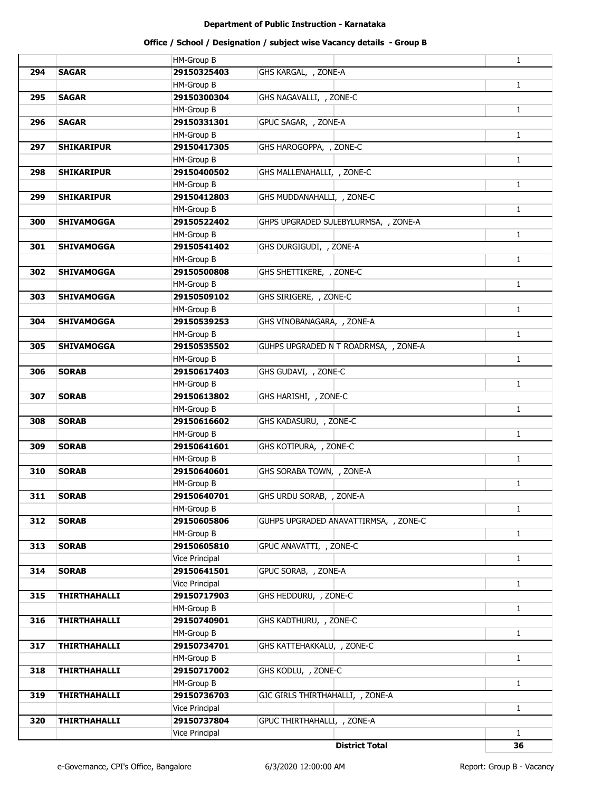| 294<br><b>SAGAR</b><br>29150325403<br>GHS KARGAL, , ZONE-A<br>$\mathbf{1}$<br><b>HM-Group B</b><br><b>SAGAR</b><br>GHS NAGAVALLI, , ZONE-C<br>295<br>29150300304<br><b>HM-Group B</b><br>$\mathbf{1}$<br>GPUC SAGAR, , ZONE-A<br>296<br><b>SAGAR</b><br>29150331301<br>$\mathbf{1}$<br><b>HM-Group B</b><br>GHS HAROGOPPA, , ZONE-C<br><b>SHIKARIPUR</b><br>29150417305<br>297<br>$\mathbf{1}$<br><b>HM-Group B</b><br>GHS MALLENAHALLI, , ZONE-C<br><b>SHIKARIPUR</b><br>29150400502<br>298<br>$\mathbf{1}$<br><b>HM-Group B</b><br>GHS MUDDANAHALLI, , ZONE-C<br>299<br><b>SHIKARIPUR</b><br>29150412803<br>$\mathbf{1}$<br><b>HM-Group B</b><br>GHPS UPGRADED SULEBYLURMSA, , ZONE-A<br>300<br><b>SHIVAMOGGA</b><br>29150522402<br><b>HM-Group B</b><br>$\mathbf{1}$<br><b>SHIVAMOGGA</b><br>GHS DURGIGUDI, , ZONE-A<br>29150541402<br>301<br>$\mathbf{1}$<br><b>HM-Group B</b><br>GHS SHETTIKERE, , ZONE-C<br>302<br><b>SHIVAMOGGA</b><br>29150500808<br>$\mathbf{1}$<br>HM-Group B<br>GHS SIRIGERE, , ZONE-C<br>303<br><b>SHIVAMOGGA</b><br>29150509102<br>$\mathbf{1}$<br>HM-Group B<br>GHS VINOBANAGARA, , ZONE-A<br>304<br><b>SHIVAMOGGA</b><br>29150539253<br>$\mathbf{1}$<br><b>HM-Group B</b><br>305<br><b>SHIVAMOGGA</b><br>29150535502<br>GUHPS UPGRADED N T ROADRMSA, , ZONE-A<br><b>HM-Group B</b><br>$\mathbf{1}$<br>GHS GUDAVI, , ZONE-C<br><b>SORAB</b><br>29150617403<br>306<br>$\mathbf{1}$<br><b>HM-Group B</b><br>GHS HARISHI, , ZONE-C<br><b>SORAB</b><br>29150613802<br>307<br><b>HM-Group B</b><br>$\mathbf{1}$<br><b>SORAB</b><br>GHS KADASURU, , ZONE-C<br>308<br>29150616602<br>$\mathbf{1}$<br>HM-Group B<br>GHS KOTIPURA, , ZONE-C<br><b>SORAB</b><br>309<br>29150641601<br><b>HM-Group B</b><br>$\mathbf{1}$<br>GHS SORABA TOWN, , ZONE-A<br>310<br><b>SORAB</b><br>29150640601<br>$\mathbf{1}$<br><b>HM-Group B</b><br>311<br><b>SORAB</b><br>GHS URDU SORAB, , ZONE-A<br>29150640701<br><b>HM-Group B</b><br>$\mathbf{1}$<br>312<br><b>SORAB</b><br>29150605806<br>GUHPS UPGRADED ANAVATTIRMSA, , ZONE-C<br><b>HM-Group B</b><br>$\mathbf{1}$<br><b>SORAB</b><br>29150605810<br>GPUC ANAVATTI, , ZONE-C<br>313<br>$\mathbf{1}$<br>Vice Principal<br>GPUC SORAB, , ZONE-A<br><b>SORAB</b><br>29150641501<br>314<br>$\mathbf{1}$<br>Vice Principal<br>GHS HEDDURU, , ZONE-C<br>315<br><b>THIRTHAHALLI</b><br>29150717903<br>$\mathbf{1}$<br>HM-Group B<br><b>THIRTHAHALLI</b><br>GHS KADTHURU, , ZONE-C<br>316<br>29150740901<br>$\mathbf{1}$<br>HM-Group B<br><b>THIRTHAHALLI</b><br>GHS KATTEHAKKALU, , ZONE-C<br>29150734701<br>317<br>$\mathbf{1}$<br>HM-Group B<br><b>THIRTHAHALLI</b><br>29150717002<br>GHS KODLU, , ZONE-C<br>318<br><b>HM-Group B</b><br>$\mathbf{1}$<br><b>THIRTHAHALLI</b><br>29150736703<br>GJC GIRLS THIRTHAHALLI, , ZONE-A<br>319<br>$\mathbf{1}$<br>Vice Principal<br><b>THIRTHAHALLI</b><br>29150737804<br>GPUC THIRTHAHALLI, , ZONE-A<br>320<br>Vice Principal<br>$\mathbf{1}$<br><b>District Total</b><br>36 |  | HM-Group B | $\mathbf{1}$ |
|------------------------------------------------------------------------------------------------------------------------------------------------------------------------------------------------------------------------------------------------------------------------------------------------------------------------------------------------------------------------------------------------------------------------------------------------------------------------------------------------------------------------------------------------------------------------------------------------------------------------------------------------------------------------------------------------------------------------------------------------------------------------------------------------------------------------------------------------------------------------------------------------------------------------------------------------------------------------------------------------------------------------------------------------------------------------------------------------------------------------------------------------------------------------------------------------------------------------------------------------------------------------------------------------------------------------------------------------------------------------------------------------------------------------------------------------------------------------------------------------------------------------------------------------------------------------------------------------------------------------------------------------------------------------------------------------------------------------------------------------------------------------------------------------------------------------------------------------------------------------------------------------------------------------------------------------------------------------------------------------------------------------------------------------------------------------------------------------------------------------------------------------------------------------------------------------------------------------------------------------------------------------------------------------------------------------------------------------------------------------------------------------------------------------------------------------------------------------------------------------------------------------------------------------------------------------------------------------------------------------------------------------------------------------------------------------------------------------------------------------------------------------------------------------------------------------------------------------------------------------------------------------------------------------------------------------------------------------------|--|------------|--------------|
|                                                                                                                                                                                                                                                                                                                                                                                                                                                                                                                                                                                                                                                                                                                                                                                                                                                                                                                                                                                                                                                                                                                                                                                                                                                                                                                                                                                                                                                                                                                                                                                                                                                                                                                                                                                                                                                                                                                                                                                                                                                                                                                                                                                                                                                                                                                                                                                                                                                                                                                                                                                                                                                                                                                                                                                                                                                                                                                                                                              |  |            |              |
|                                                                                                                                                                                                                                                                                                                                                                                                                                                                                                                                                                                                                                                                                                                                                                                                                                                                                                                                                                                                                                                                                                                                                                                                                                                                                                                                                                                                                                                                                                                                                                                                                                                                                                                                                                                                                                                                                                                                                                                                                                                                                                                                                                                                                                                                                                                                                                                                                                                                                                                                                                                                                                                                                                                                                                                                                                                                                                                                                                              |  |            |              |
|                                                                                                                                                                                                                                                                                                                                                                                                                                                                                                                                                                                                                                                                                                                                                                                                                                                                                                                                                                                                                                                                                                                                                                                                                                                                                                                                                                                                                                                                                                                                                                                                                                                                                                                                                                                                                                                                                                                                                                                                                                                                                                                                                                                                                                                                                                                                                                                                                                                                                                                                                                                                                                                                                                                                                                                                                                                                                                                                                                              |  |            |              |
|                                                                                                                                                                                                                                                                                                                                                                                                                                                                                                                                                                                                                                                                                                                                                                                                                                                                                                                                                                                                                                                                                                                                                                                                                                                                                                                                                                                                                                                                                                                                                                                                                                                                                                                                                                                                                                                                                                                                                                                                                                                                                                                                                                                                                                                                                                                                                                                                                                                                                                                                                                                                                                                                                                                                                                                                                                                                                                                                                                              |  |            |              |
|                                                                                                                                                                                                                                                                                                                                                                                                                                                                                                                                                                                                                                                                                                                                                                                                                                                                                                                                                                                                                                                                                                                                                                                                                                                                                                                                                                                                                                                                                                                                                                                                                                                                                                                                                                                                                                                                                                                                                                                                                                                                                                                                                                                                                                                                                                                                                                                                                                                                                                                                                                                                                                                                                                                                                                                                                                                                                                                                                                              |  |            |              |
|                                                                                                                                                                                                                                                                                                                                                                                                                                                                                                                                                                                                                                                                                                                                                                                                                                                                                                                                                                                                                                                                                                                                                                                                                                                                                                                                                                                                                                                                                                                                                                                                                                                                                                                                                                                                                                                                                                                                                                                                                                                                                                                                                                                                                                                                                                                                                                                                                                                                                                                                                                                                                                                                                                                                                                                                                                                                                                                                                                              |  |            |              |
|                                                                                                                                                                                                                                                                                                                                                                                                                                                                                                                                                                                                                                                                                                                                                                                                                                                                                                                                                                                                                                                                                                                                                                                                                                                                                                                                                                                                                                                                                                                                                                                                                                                                                                                                                                                                                                                                                                                                                                                                                                                                                                                                                                                                                                                                                                                                                                                                                                                                                                                                                                                                                                                                                                                                                                                                                                                                                                                                                                              |  |            |              |
|                                                                                                                                                                                                                                                                                                                                                                                                                                                                                                                                                                                                                                                                                                                                                                                                                                                                                                                                                                                                                                                                                                                                                                                                                                                                                                                                                                                                                                                                                                                                                                                                                                                                                                                                                                                                                                                                                                                                                                                                                                                                                                                                                                                                                                                                                                                                                                                                                                                                                                                                                                                                                                                                                                                                                                                                                                                                                                                                                                              |  |            |              |
|                                                                                                                                                                                                                                                                                                                                                                                                                                                                                                                                                                                                                                                                                                                                                                                                                                                                                                                                                                                                                                                                                                                                                                                                                                                                                                                                                                                                                                                                                                                                                                                                                                                                                                                                                                                                                                                                                                                                                                                                                                                                                                                                                                                                                                                                                                                                                                                                                                                                                                                                                                                                                                                                                                                                                                                                                                                                                                                                                                              |  |            |              |
|                                                                                                                                                                                                                                                                                                                                                                                                                                                                                                                                                                                                                                                                                                                                                                                                                                                                                                                                                                                                                                                                                                                                                                                                                                                                                                                                                                                                                                                                                                                                                                                                                                                                                                                                                                                                                                                                                                                                                                                                                                                                                                                                                                                                                                                                                                                                                                                                                                                                                                                                                                                                                                                                                                                                                                                                                                                                                                                                                                              |  |            |              |
|                                                                                                                                                                                                                                                                                                                                                                                                                                                                                                                                                                                                                                                                                                                                                                                                                                                                                                                                                                                                                                                                                                                                                                                                                                                                                                                                                                                                                                                                                                                                                                                                                                                                                                                                                                                                                                                                                                                                                                                                                                                                                                                                                                                                                                                                                                                                                                                                                                                                                                                                                                                                                                                                                                                                                                                                                                                                                                                                                                              |  |            |              |
|                                                                                                                                                                                                                                                                                                                                                                                                                                                                                                                                                                                                                                                                                                                                                                                                                                                                                                                                                                                                                                                                                                                                                                                                                                                                                                                                                                                                                                                                                                                                                                                                                                                                                                                                                                                                                                                                                                                                                                                                                                                                                                                                                                                                                                                                                                                                                                                                                                                                                                                                                                                                                                                                                                                                                                                                                                                                                                                                                                              |  |            |              |
|                                                                                                                                                                                                                                                                                                                                                                                                                                                                                                                                                                                                                                                                                                                                                                                                                                                                                                                                                                                                                                                                                                                                                                                                                                                                                                                                                                                                                                                                                                                                                                                                                                                                                                                                                                                                                                                                                                                                                                                                                                                                                                                                                                                                                                                                                                                                                                                                                                                                                                                                                                                                                                                                                                                                                                                                                                                                                                                                                                              |  |            |              |
|                                                                                                                                                                                                                                                                                                                                                                                                                                                                                                                                                                                                                                                                                                                                                                                                                                                                                                                                                                                                                                                                                                                                                                                                                                                                                                                                                                                                                                                                                                                                                                                                                                                                                                                                                                                                                                                                                                                                                                                                                                                                                                                                                                                                                                                                                                                                                                                                                                                                                                                                                                                                                                                                                                                                                                                                                                                                                                                                                                              |  |            |              |
|                                                                                                                                                                                                                                                                                                                                                                                                                                                                                                                                                                                                                                                                                                                                                                                                                                                                                                                                                                                                                                                                                                                                                                                                                                                                                                                                                                                                                                                                                                                                                                                                                                                                                                                                                                                                                                                                                                                                                                                                                                                                                                                                                                                                                                                                                                                                                                                                                                                                                                                                                                                                                                                                                                                                                                                                                                                                                                                                                                              |  |            |              |
|                                                                                                                                                                                                                                                                                                                                                                                                                                                                                                                                                                                                                                                                                                                                                                                                                                                                                                                                                                                                                                                                                                                                                                                                                                                                                                                                                                                                                                                                                                                                                                                                                                                                                                                                                                                                                                                                                                                                                                                                                                                                                                                                                                                                                                                                                                                                                                                                                                                                                                                                                                                                                                                                                                                                                                                                                                                                                                                                                                              |  |            |              |
|                                                                                                                                                                                                                                                                                                                                                                                                                                                                                                                                                                                                                                                                                                                                                                                                                                                                                                                                                                                                                                                                                                                                                                                                                                                                                                                                                                                                                                                                                                                                                                                                                                                                                                                                                                                                                                                                                                                                                                                                                                                                                                                                                                                                                                                                                                                                                                                                                                                                                                                                                                                                                                                                                                                                                                                                                                                                                                                                                                              |  |            |              |
|                                                                                                                                                                                                                                                                                                                                                                                                                                                                                                                                                                                                                                                                                                                                                                                                                                                                                                                                                                                                                                                                                                                                                                                                                                                                                                                                                                                                                                                                                                                                                                                                                                                                                                                                                                                                                                                                                                                                                                                                                                                                                                                                                                                                                                                                                                                                                                                                                                                                                                                                                                                                                                                                                                                                                                                                                                                                                                                                                                              |  |            |              |
|                                                                                                                                                                                                                                                                                                                                                                                                                                                                                                                                                                                                                                                                                                                                                                                                                                                                                                                                                                                                                                                                                                                                                                                                                                                                                                                                                                                                                                                                                                                                                                                                                                                                                                                                                                                                                                                                                                                                                                                                                                                                                                                                                                                                                                                                                                                                                                                                                                                                                                                                                                                                                                                                                                                                                                                                                                                                                                                                                                              |  |            |              |
|                                                                                                                                                                                                                                                                                                                                                                                                                                                                                                                                                                                                                                                                                                                                                                                                                                                                                                                                                                                                                                                                                                                                                                                                                                                                                                                                                                                                                                                                                                                                                                                                                                                                                                                                                                                                                                                                                                                                                                                                                                                                                                                                                                                                                                                                                                                                                                                                                                                                                                                                                                                                                                                                                                                                                                                                                                                                                                                                                                              |  |            |              |
|                                                                                                                                                                                                                                                                                                                                                                                                                                                                                                                                                                                                                                                                                                                                                                                                                                                                                                                                                                                                                                                                                                                                                                                                                                                                                                                                                                                                                                                                                                                                                                                                                                                                                                                                                                                                                                                                                                                                                                                                                                                                                                                                                                                                                                                                                                                                                                                                                                                                                                                                                                                                                                                                                                                                                                                                                                                                                                                                                                              |  |            |              |
|                                                                                                                                                                                                                                                                                                                                                                                                                                                                                                                                                                                                                                                                                                                                                                                                                                                                                                                                                                                                                                                                                                                                                                                                                                                                                                                                                                                                                                                                                                                                                                                                                                                                                                                                                                                                                                                                                                                                                                                                                                                                                                                                                                                                                                                                                                                                                                                                                                                                                                                                                                                                                                                                                                                                                                                                                                                                                                                                                                              |  |            |              |
|                                                                                                                                                                                                                                                                                                                                                                                                                                                                                                                                                                                                                                                                                                                                                                                                                                                                                                                                                                                                                                                                                                                                                                                                                                                                                                                                                                                                                                                                                                                                                                                                                                                                                                                                                                                                                                                                                                                                                                                                                                                                                                                                                                                                                                                                                                                                                                                                                                                                                                                                                                                                                                                                                                                                                                                                                                                                                                                                                                              |  |            |              |
|                                                                                                                                                                                                                                                                                                                                                                                                                                                                                                                                                                                                                                                                                                                                                                                                                                                                                                                                                                                                                                                                                                                                                                                                                                                                                                                                                                                                                                                                                                                                                                                                                                                                                                                                                                                                                                                                                                                                                                                                                                                                                                                                                                                                                                                                                                                                                                                                                                                                                                                                                                                                                                                                                                                                                                                                                                                                                                                                                                              |  |            |              |
|                                                                                                                                                                                                                                                                                                                                                                                                                                                                                                                                                                                                                                                                                                                                                                                                                                                                                                                                                                                                                                                                                                                                                                                                                                                                                                                                                                                                                                                                                                                                                                                                                                                                                                                                                                                                                                                                                                                                                                                                                                                                                                                                                                                                                                                                                                                                                                                                                                                                                                                                                                                                                                                                                                                                                                                                                                                                                                                                                                              |  |            |              |
|                                                                                                                                                                                                                                                                                                                                                                                                                                                                                                                                                                                                                                                                                                                                                                                                                                                                                                                                                                                                                                                                                                                                                                                                                                                                                                                                                                                                                                                                                                                                                                                                                                                                                                                                                                                                                                                                                                                                                                                                                                                                                                                                                                                                                                                                                                                                                                                                                                                                                                                                                                                                                                                                                                                                                                                                                                                                                                                                                                              |  |            |              |
|                                                                                                                                                                                                                                                                                                                                                                                                                                                                                                                                                                                                                                                                                                                                                                                                                                                                                                                                                                                                                                                                                                                                                                                                                                                                                                                                                                                                                                                                                                                                                                                                                                                                                                                                                                                                                                                                                                                                                                                                                                                                                                                                                                                                                                                                                                                                                                                                                                                                                                                                                                                                                                                                                                                                                                                                                                                                                                                                                                              |  |            |              |
|                                                                                                                                                                                                                                                                                                                                                                                                                                                                                                                                                                                                                                                                                                                                                                                                                                                                                                                                                                                                                                                                                                                                                                                                                                                                                                                                                                                                                                                                                                                                                                                                                                                                                                                                                                                                                                                                                                                                                                                                                                                                                                                                                                                                                                                                                                                                                                                                                                                                                                                                                                                                                                                                                                                                                                                                                                                                                                                                                                              |  |            |              |
|                                                                                                                                                                                                                                                                                                                                                                                                                                                                                                                                                                                                                                                                                                                                                                                                                                                                                                                                                                                                                                                                                                                                                                                                                                                                                                                                                                                                                                                                                                                                                                                                                                                                                                                                                                                                                                                                                                                                                                                                                                                                                                                                                                                                                                                                                                                                                                                                                                                                                                                                                                                                                                                                                                                                                                                                                                                                                                                                                                              |  |            |              |
|                                                                                                                                                                                                                                                                                                                                                                                                                                                                                                                                                                                                                                                                                                                                                                                                                                                                                                                                                                                                                                                                                                                                                                                                                                                                                                                                                                                                                                                                                                                                                                                                                                                                                                                                                                                                                                                                                                                                                                                                                                                                                                                                                                                                                                                                                                                                                                                                                                                                                                                                                                                                                                                                                                                                                                                                                                                                                                                                                                              |  |            |              |
|                                                                                                                                                                                                                                                                                                                                                                                                                                                                                                                                                                                                                                                                                                                                                                                                                                                                                                                                                                                                                                                                                                                                                                                                                                                                                                                                                                                                                                                                                                                                                                                                                                                                                                                                                                                                                                                                                                                                                                                                                                                                                                                                                                                                                                                                                                                                                                                                                                                                                                                                                                                                                                                                                                                                                                                                                                                                                                                                                                              |  |            |              |
|                                                                                                                                                                                                                                                                                                                                                                                                                                                                                                                                                                                                                                                                                                                                                                                                                                                                                                                                                                                                                                                                                                                                                                                                                                                                                                                                                                                                                                                                                                                                                                                                                                                                                                                                                                                                                                                                                                                                                                                                                                                                                                                                                                                                                                                                                                                                                                                                                                                                                                                                                                                                                                                                                                                                                                                                                                                                                                                                                                              |  |            |              |
|                                                                                                                                                                                                                                                                                                                                                                                                                                                                                                                                                                                                                                                                                                                                                                                                                                                                                                                                                                                                                                                                                                                                                                                                                                                                                                                                                                                                                                                                                                                                                                                                                                                                                                                                                                                                                                                                                                                                                                                                                                                                                                                                                                                                                                                                                                                                                                                                                                                                                                                                                                                                                                                                                                                                                                                                                                                                                                                                                                              |  |            |              |
|                                                                                                                                                                                                                                                                                                                                                                                                                                                                                                                                                                                                                                                                                                                                                                                                                                                                                                                                                                                                                                                                                                                                                                                                                                                                                                                                                                                                                                                                                                                                                                                                                                                                                                                                                                                                                                                                                                                                                                                                                                                                                                                                                                                                                                                                                                                                                                                                                                                                                                                                                                                                                                                                                                                                                                                                                                                                                                                                                                              |  |            |              |
|                                                                                                                                                                                                                                                                                                                                                                                                                                                                                                                                                                                                                                                                                                                                                                                                                                                                                                                                                                                                                                                                                                                                                                                                                                                                                                                                                                                                                                                                                                                                                                                                                                                                                                                                                                                                                                                                                                                                                                                                                                                                                                                                                                                                                                                                                                                                                                                                                                                                                                                                                                                                                                                                                                                                                                                                                                                                                                                                                                              |  |            |              |
|                                                                                                                                                                                                                                                                                                                                                                                                                                                                                                                                                                                                                                                                                                                                                                                                                                                                                                                                                                                                                                                                                                                                                                                                                                                                                                                                                                                                                                                                                                                                                                                                                                                                                                                                                                                                                                                                                                                                                                                                                                                                                                                                                                                                                                                                                                                                                                                                                                                                                                                                                                                                                                                                                                                                                                                                                                                                                                                                                                              |  |            |              |
|                                                                                                                                                                                                                                                                                                                                                                                                                                                                                                                                                                                                                                                                                                                                                                                                                                                                                                                                                                                                                                                                                                                                                                                                                                                                                                                                                                                                                                                                                                                                                                                                                                                                                                                                                                                                                                                                                                                                                                                                                                                                                                                                                                                                                                                                                                                                                                                                                                                                                                                                                                                                                                                                                                                                                                                                                                                                                                                                                                              |  |            |              |
|                                                                                                                                                                                                                                                                                                                                                                                                                                                                                                                                                                                                                                                                                                                                                                                                                                                                                                                                                                                                                                                                                                                                                                                                                                                                                                                                                                                                                                                                                                                                                                                                                                                                                                                                                                                                                                                                                                                                                                                                                                                                                                                                                                                                                                                                                                                                                                                                                                                                                                                                                                                                                                                                                                                                                                                                                                                                                                                                                                              |  |            |              |
|                                                                                                                                                                                                                                                                                                                                                                                                                                                                                                                                                                                                                                                                                                                                                                                                                                                                                                                                                                                                                                                                                                                                                                                                                                                                                                                                                                                                                                                                                                                                                                                                                                                                                                                                                                                                                                                                                                                                                                                                                                                                                                                                                                                                                                                                                                                                                                                                                                                                                                                                                                                                                                                                                                                                                                                                                                                                                                                                                                              |  |            |              |
|                                                                                                                                                                                                                                                                                                                                                                                                                                                                                                                                                                                                                                                                                                                                                                                                                                                                                                                                                                                                                                                                                                                                                                                                                                                                                                                                                                                                                                                                                                                                                                                                                                                                                                                                                                                                                                                                                                                                                                                                                                                                                                                                                                                                                                                                                                                                                                                                                                                                                                                                                                                                                                                                                                                                                                                                                                                                                                                                                                              |  |            |              |
|                                                                                                                                                                                                                                                                                                                                                                                                                                                                                                                                                                                                                                                                                                                                                                                                                                                                                                                                                                                                                                                                                                                                                                                                                                                                                                                                                                                                                                                                                                                                                                                                                                                                                                                                                                                                                                                                                                                                                                                                                                                                                                                                                                                                                                                                                                                                                                                                                                                                                                                                                                                                                                                                                                                                                                                                                                                                                                                                                                              |  |            |              |
|                                                                                                                                                                                                                                                                                                                                                                                                                                                                                                                                                                                                                                                                                                                                                                                                                                                                                                                                                                                                                                                                                                                                                                                                                                                                                                                                                                                                                                                                                                                                                                                                                                                                                                                                                                                                                                                                                                                                                                                                                                                                                                                                                                                                                                                                                                                                                                                                                                                                                                                                                                                                                                                                                                                                                                                                                                                                                                                                                                              |  |            |              |
|                                                                                                                                                                                                                                                                                                                                                                                                                                                                                                                                                                                                                                                                                                                                                                                                                                                                                                                                                                                                                                                                                                                                                                                                                                                                                                                                                                                                                                                                                                                                                                                                                                                                                                                                                                                                                                                                                                                                                                                                                                                                                                                                                                                                                                                                                                                                                                                                                                                                                                                                                                                                                                                                                                                                                                                                                                                                                                                                                                              |  |            |              |
|                                                                                                                                                                                                                                                                                                                                                                                                                                                                                                                                                                                                                                                                                                                                                                                                                                                                                                                                                                                                                                                                                                                                                                                                                                                                                                                                                                                                                                                                                                                                                                                                                                                                                                                                                                                                                                                                                                                                                                                                                                                                                                                                                                                                                                                                                                                                                                                                                                                                                                                                                                                                                                                                                                                                                                                                                                                                                                                                                                              |  |            |              |
|                                                                                                                                                                                                                                                                                                                                                                                                                                                                                                                                                                                                                                                                                                                                                                                                                                                                                                                                                                                                                                                                                                                                                                                                                                                                                                                                                                                                                                                                                                                                                                                                                                                                                                                                                                                                                                                                                                                                                                                                                                                                                                                                                                                                                                                                                                                                                                                                                                                                                                                                                                                                                                                                                                                                                                                                                                                                                                                                                                              |  |            |              |
|                                                                                                                                                                                                                                                                                                                                                                                                                                                                                                                                                                                                                                                                                                                                                                                                                                                                                                                                                                                                                                                                                                                                                                                                                                                                                                                                                                                                                                                                                                                                                                                                                                                                                                                                                                                                                                                                                                                                                                                                                                                                                                                                                                                                                                                                                                                                                                                                                                                                                                                                                                                                                                                                                                                                                                                                                                                                                                                                                                              |  |            |              |
|                                                                                                                                                                                                                                                                                                                                                                                                                                                                                                                                                                                                                                                                                                                                                                                                                                                                                                                                                                                                                                                                                                                                                                                                                                                                                                                                                                                                                                                                                                                                                                                                                                                                                                                                                                                                                                                                                                                                                                                                                                                                                                                                                                                                                                                                                                                                                                                                                                                                                                                                                                                                                                                                                                                                                                                                                                                                                                                                                                              |  |            |              |
|                                                                                                                                                                                                                                                                                                                                                                                                                                                                                                                                                                                                                                                                                                                                                                                                                                                                                                                                                                                                                                                                                                                                                                                                                                                                                                                                                                                                                                                                                                                                                                                                                                                                                                                                                                                                                                                                                                                                                                                                                                                                                                                                                                                                                                                                                                                                                                                                                                                                                                                                                                                                                                                                                                                                                                                                                                                                                                                                                                              |  |            |              |
|                                                                                                                                                                                                                                                                                                                                                                                                                                                                                                                                                                                                                                                                                                                                                                                                                                                                                                                                                                                                                                                                                                                                                                                                                                                                                                                                                                                                                                                                                                                                                                                                                                                                                                                                                                                                                                                                                                                                                                                                                                                                                                                                                                                                                                                                                                                                                                                                                                                                                                                                                                                                                                                                                                                                                                                                                                                                                                                                                                              |  |            |              |
|                                                                                                                                                                                                                                                                                                                                                                                                                                                                                                                                                                                                                                                                                                                                                                                                                                                                                                                                                                                                                                                                                                                                                                                                                                                                                                                                                                                                                                                                                                                                                                                                                                                                                                                                                                                                                                                                                                                                                                                                                                                                                                                                                                                                                                                                                                                                                                                                                                                                                                                                                                                                                                                                                                                                                                                                                                                                                                                                                                              |  |            |              |
|                                                                                                                                                                                                                                                                                                                                                                                                                                                                                                                                                                                                                                                                                                                                                                                                                                                                                                                                                                                                                                                                                                                                                                                                                                                                                                                                                                                                                                                                                                                                                                                                                                                                                                                                                                                                                                                                                                                                                                                                                                                                                                                                                                                                                                                                                                                                                                                                                                                                                                                                                                                                                                                                                                                                                                                                                                                                                                                                                                              |  |            |              |
|                                                                                                                                                                                                                                                                                                                                                                                                                                                                                                                                                                                                                                                                                                                                                                                                                                                                                                                                                                                                                                                                                                                                                                                                                                                                                                                                                                                                                                                                                                                                                                                                                                                                                                                                                                                                                                                                                                                                                                                                                                                                                                                                                                                                                                                                                                                                                                                                                                                                                                                                                                                                                                                                                                                                                                                                                                                                                                                                                                              |  |            |              |
|                                                                                                                                                                                                                                                                                                                                                                                                                                                                                                                                                                                                                                                                                                                                                                                                                                                                                                                                                                                                                                                                                                                                                                                                                                                                                                                                                                                                                                                                                                                                                                                                                                                                                                                                                                                                                                                                                                                                                                                                                                                                                                                                                                                                                                                                                                                                                                                                                                                                                                                                                                                                                                                                                                                                                                                                                                                                                                                                                                              |  |            |              |
|                                                                                                                                                                                                                                                                                                                                                                                                                                                                                                                                                                                                                                                                                                                                                                                                                                                                                                                                                                                                                                                                                                                                                                                                                                                                                                                                                                                                                                                                                                                                                                                                                                                                                                                                                                                                                                                                                                                                                                                                                                                                                                                                                                                                                                                                                                                                                                                                                                                                                                                                                                                                                                                                                                                                                                                                                                                                                                                                                                              |  |            |              |
|                                                                                                                                                                                                                                                                                                                                                                                                                                                                                                                                                                                                                                                                                                                                                                                                                                                                                                                                                                                                                                                                                                                                                                                                                                                                                                                                                                                                                                                                                                                                                                                                                                                                                                                                                                                                                                                                                                                                                                                                                                                                                                                                                                                                                                                                                                                                                                                                                                                                                                                                                                                                                                                                                                                                                                                                                                                                                                                                                                              |  |            |              |
|                                                                                                                                                                                                                                                                                                                                                                                                                                                                                                                                                                                                                                                                                                                                                                                                                                                                                                                                                                                                                                                                                                                                                                                                                                                                                                                                                                                                                                                                                                                                                                                                                                                                                                                                                                                                                                                                                                                                                                                                                                                                                                                                                                                                                                                                                                                                                                                                                                                                                                                                                                                                                                                                                                                                                                                                                                                                                                                                                                              |  |            |              |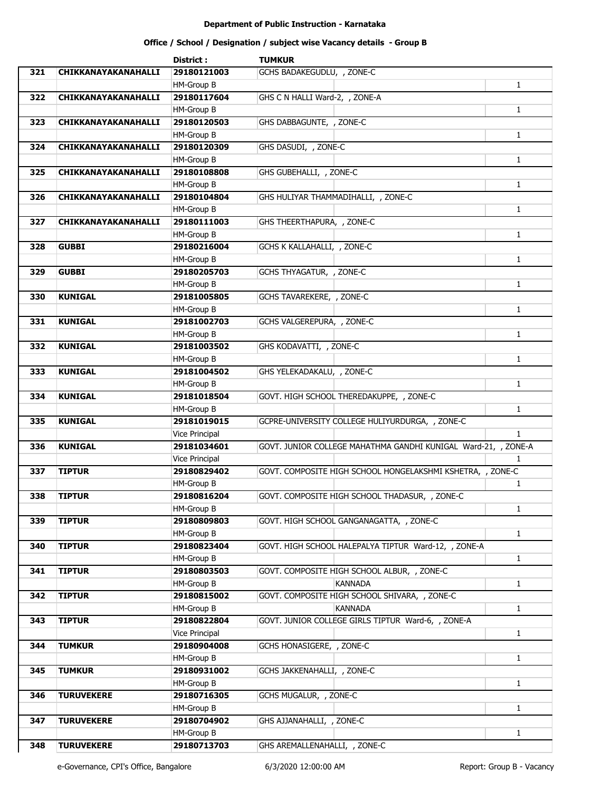|     |                     | District:                 | <b>TUMKUR</b>                                                  |              |
|-----|---------------------|---------------------------|----------------------------------------------------------------|--------------|
| 321 | CHIKKANAYAKANAHALLI | 29180121003               | GCHS BADAKEGUDLU, , ZONE-C                                     |              |
|     |                     | HM-Group B                |                                                                | $\mathbf{1}$ |
| 322 | CHIKKANAYAKANAHALLI | 29180117604               | GHS C N HALLI Ward-2, , ZONE-A                                 |              |
|     |                     | HM-Group B                |                                                                | $\mathbf{1}$ |
| 323 | CHIKKANAYAKANAHALLI | 29180120503               | GHS DABBAGUNTE, , ZONE-C                                       |              |
|     |                     | <b>HM-Group B</b>         |                                                                | $\mathbf{1}$ |
| 324 | CHIKKANAYAKANAHALLI | 29180120309               | GHS DASUDI, , ZONE-C                                           |              |
|     |                     | HM-Group B                |                                                                | $\mathbf{1}$ |
| 325 | CHIKKANAYAKANAHALLI | 29180108808               | GHS GUBEHALLI, , ZONE-C                                        |              |
|     |                     | <b>HM-Group B</b>         |                                                                | $\mathbf{1}$ |
| 326 | CHIKKANAYAKANAHALLI | 29180104804               | GHS HULIYAR THAMMADIHALLI, , ZONE-C                            |              |
|     |                     | HM-Group B                |                                                                | $\mathbf{1}$ |
| 327 | CHIKKANAYAKANAHALLI | 29180111003               | GHS THEERTHAPURA, , ZONE-C                                     |              |
|     |                     |                           |                                                                |              |
|     |                     | HM-Group B                |                                                                | $\mathbf{1}$ |
| 328 | <b>GUBBI</b>        | 29180216004               | GCHS K KALLAHALLI, , ZONE-C                                    |              |
|     |                     | HM-Group B                |                                                                | $\mathbf{1}$ |
| 329 | <b>GUBBI</b>        | 29180205703               | GCHS THYAGATUR, , ZONE-C                                       |              |
|     |                     | HM-Group B                |                                                                | $\mathbf{1}$ |
| 330 | <b>KUNIGAL</b>      | 29181005805               | GCHS TAVAREKERE, , ZONE-C                                      |              |
|     |                     | HM-Group B                |                                                                | $\mathbf{1}$ |
| 331 | <b>KUNIGAL</b>      | 29181002703               | GCHS VALGEREPURA, , ZONE-C                                     |              |
|     |                     | HM-Group B                |                                                                | $\mathbf{1}$ |
| 332 | <b>KUNIGAL</b>      | 29181003502               | GHS KODAVATTI, , ZONE-C                                        |              |
|     |                     | HM-Group B                |                                                                | $\mathbf{1}$ |
| 333 | <b>KUNIGAL</b>      | 29181004502               | GHS YELEKADAKALU, , ZONE-C                                     |              |
|     |                     | HM-Group B                |                                                                | $\mathbf{1}$ |
| 334 | <b>KUNIGAL</b>      | 29181018504               | GOVT. HIGH SCHOOL THEREDAKUPPE, , ZONE-C                       |              |
|     |                     | HM-Group B                |                                                                | $\mathbf{1}$ |
| 335 | <b>KUNIGAL</b>      | 29181019015               | GCPRE-UNIVERSITY COLLEGE HULIYURDURGA, , ZONE-C                |              |
|     |                     | Vice Principal            |                                                                | $\mathbf{1}$ |
| 336 | <b>KUNIGAL</b>      | 29181034601               | GOVT. JUNIOR COLLEGE MAHATHMA GANDHI KUNIGAL Ward-21, , ZONE-A |              |
|     |                     | <b>Vice Principal</b>     |                                                                | $\mathbf{1}$ |
| 337 | <b>TIPTUR</b>       | 29180829402               | GOVT. COMPOSITE HIGH SCHOOL HONGELAKSHMI KSHETRA, , ZONE-C     |              |
|     |                     | HM-Group B                |                                                                | 1            |
| 338 | <b>TIPTUR</b>       | 29180816204               | GOVT. COMPOSITE HIGH SCHOOL THADASUR, , ZONE-C                 |              |
|     |                     | HM-Group B                |                                                                | $\mathbf{1}$ |
| 339 | <b>TIPTUR</b>       | 29180809803               | GOVT. HIGH SCHOOL GANGANAGATTA, , ZONE-C                       |              |
|     |                     | HM-Group B                |                                                                | $\mathbf{1}$ |
| 340 | <b>TIPTUR</b>       | 29180823404               | GOVT. HIGH SCHOOL HALEPALYA TIPTUR Ward-12, , ZONE-A           |              |
|     |                     | HM-Group B                |                                                                | $\mathbf{1}$ |
| 341 | <b>TIPTUR</b>       | 29180803503               | GOVT. COMPOSITE HIGH SCHOOL ALBUR, , ZONE-C                    |              |
|     |                     | HM-Group B                | <b>KANNADA</b>                                                 | $\mathbf{1}$ |
| 342 | <b>TIPTUR</b>       | 29180815002               | GOVT. COMPOSITE HIGH SCHOOL SHIVARA, , ZONE-C                  |              |
|     |                     | HM-Group B                | <b>KANNADA</b>                                                 | $\mathbf{1}$ |
| 343 | <b>TIPTUR</b>       | 29180822804               | GOVT. JUNIOR COLLEGE GIRLS TIPTUR Ward-6, , ZONE-A             |              |
|     |                     | Vice Principal            |                                                                | $\mathbf{1}$ |
| 344 | <b>TUMKUR</b>       | 29180904008               | GCHS HONASIGERE, , ZONE-C                                      |              |
|     |                     | HM-Group B                |                                                                | $\mathbf{1}$ |
| 345 | <b>TUMKUR</b>       | 29180931002               | GCHS JAKKENAHALLI, , ZONE-C                                    |              |
|     |                     | HM-Group B                |                                                                | $\mathbf{1}$ |
| 346 | <b>TURUVEKERE</b>   | 29180716305               | GCHS MUGALUR, , ZONE-C                                         |              |
|     |                     |                           |                                                                |              |
|     |                     | HM-Group B<br>29180704902 |                                                                | $\mathbf{1}$ |
| 347 | <b>TURUVEKERE</b>   |                           | GHS AJJANAHALLI, , ZONE-C                                      |              |
|     |                     | HM-Group B                |                                                                | $\mathbf{1}$ |
| 348 | <b>TURUVEKERE</b>   | 29180713703               | GHS AREMALLENAHALLI, , ZONE-C                                  |              |